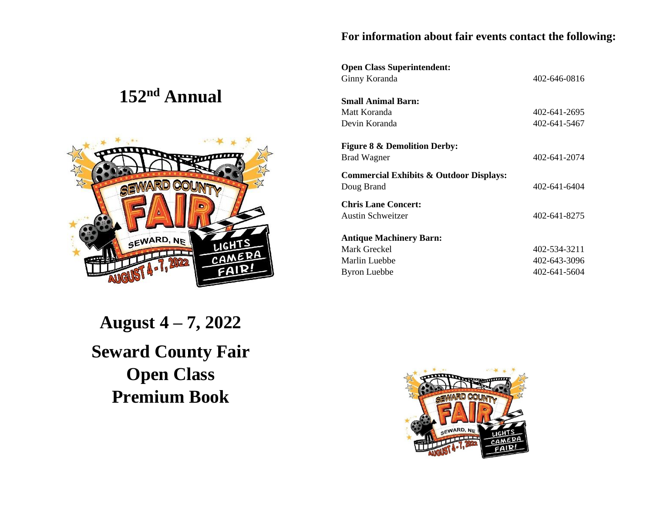## **For information about fair events contact the following:**

# **152nd Annual**



| <b>Open Class Superintendent:</b>                  |              |
|----------------------------------------------------|--------------|
| Ginny Koranda                                      | 402-646-0816 |
|                                                    |              |
| <b>Small Animal Barn:</b>                          |              |
| Matt Koranda                                       | 402-641-2695 |
| Devin Koranda                                      | 402-641-5467 |
|                                                    |              |
| <b>Figure 8 &amp; Demolition Derby:</b>            |              |
| Brad Wagner                                        | 402-641-2074 |
| <b>Commercial Exhibits &amp; Outdoor Displays:</b> |              |
| Doug Brand                                         | 402-641-6404 |
|                                                    |              |
| <b>Chris Lane Concert:</b>                         |              |
| Austin Schweitzer                                  | 402-641-8275 |
|                                                    |              |
| <b>Antique Machinery Barn:</b>                     |              |
| Mark Greckel                                       | 402-534-3211 |
| Marlin Luebbe                                      | 402-643-3096 |
| <b>Byron Luebbe</b>                                | 402-641-5604 |
|                                                    |              |

**August 4 – 7, 2022 Seward County Fair Open Class Premium Book**

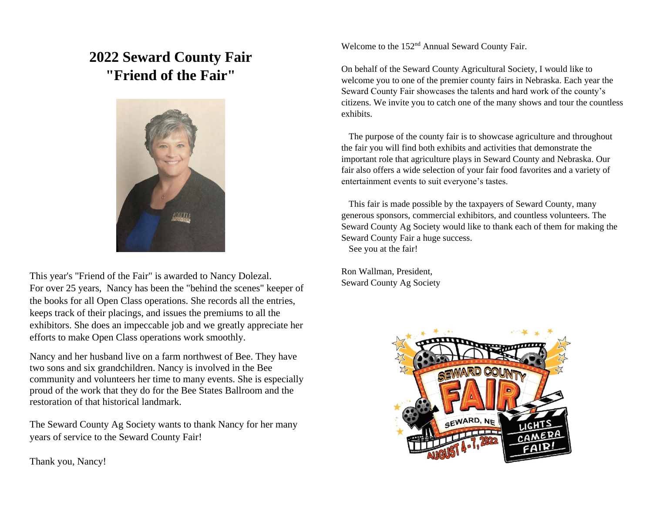# **2022 Seward County Fair "Friend of the Fair"**



This year's "Friend of the Fair" is awarded to Nancy Dolezal. For over 25 years, Nancy has been the "behind the scenes" keeper of the books for all Open Class operations. She records all the entries, keeps track of their placings, and issues the premiums to all the exhibitors. She does an impeccable job and we greatly appreciate her efforts to make Open Class operations work smoothly.

Nancy and her husband live on a farm northwest of Bee. They have two sons and six grandchildren. Nancy is involved in the Bee community and volunteers her time to many events. She is especially proud of the work that they do for the Bee States Ballroom and the restoration of that historical landmark.

The Seward County Ag Society wants to thank Nancy for her many years of service to the Seward County Fair!

Welcome to the 152<sup>nd</sup> Annual Seward County Fair.

On behalf of the Seward County Agricultural Society, I would like to welcome you to one of the premier county fairs in Nebraska. Each year the Seward County Fair showcases the talents and hard work of the county's citizens. We invite you to catch one of the many shows and tour the countless exhibits.

The purpose of the county fair is to showcase agriculture and throughout the fair you will find both exhibits and activities that demonstrate the important role that agriculture plays in Seward County and Nebraska. Our fair also offers a wide selection of your fair food favorites and a variety of entertainment events to suit everyone's tastes.

This fair is made possible by the taxpayers of Seward County, many generous sponsors, commercial exhibitors, and countless volunteers. The Seward County Ag Society would like to thank each of them for making the Seward County Fair a huge success.

See you at the fair!

Ron Wallman, President, Seward County Ag Society



Thank you, Nancy!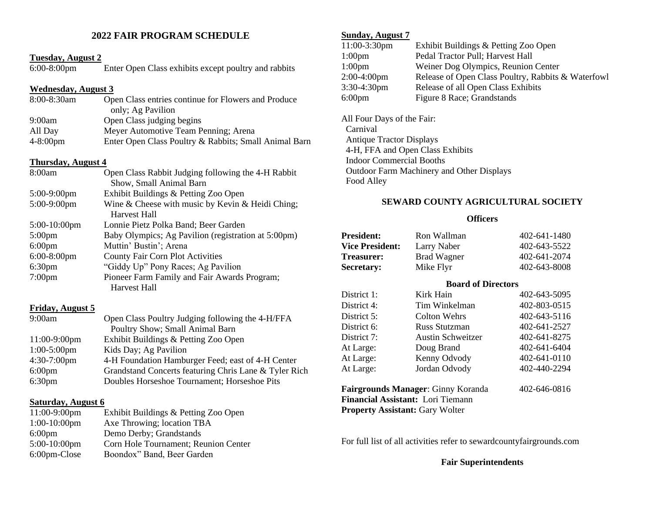## **2022 FAIR PROGRAM SCHEDULE**

# **Tuesday, August 2**<br>6:00-8:00pm

Enter Open Class exhibits except poultry and rabbits

#### **Wednesday, August 3**

| 8:00-8:30am          | Open Class entries continue for Flowers and Produce   |
|----------------------|-------------------------------------------------------|
|                      | only; Ag Pavilion                                     |
| 9:00am               | Open Class judging begins                             |
| All Day              | Meyer Automotive Team Penning; Arena                  |
| $4 - 8:00 \text{pm}$ | Enter Open Class Poultry & Rabbits; Small Animal Barn |

#### **Thursday, August 4**

| 8:00am             | Open Class Rabbit Judging following the 4-H Rabbit  |
|--------------------|-----------------------------------------------------|
|                    | Show, Small Animal Barn                             |
| 5:00-9:00pm        | Exhibit Buildings & Petting Zoo Open                |
| 5:00-9:00pm        | Wine & Cheese with music by Kevin & Heidi Ching;    |
|                    | Harvest Hall                                        |
| $5:00-10:00$ pm    | Lonnie Pietz Polka Band; Beer Garden                |
| $5:00 \text{pm}$   | Baby Olympics; Ag Pavilion (registration at 5:00pm) |
| $6:00$ pm          | Muttin' Bustin'; Arena                              |
| $6:00-8:00$ pm     | <b>County Fair Corn Plot Activities</b>             |
| 6:30 <sub>pm</sub> | "Giddy Up" Pony Races; Ag Pavilion                  |
| $7:00$ pm          | Pioneer Farm Family and Fair Awards Program;        |
|                    | Harvest Hall                                        |

#### **Friday, August 5**

| 9:00am             | Open Class Poultry Judging following the 4-H/FFA      |
|--------------------|-------------------------------------------------------|
|                    | Poultry Show; Small Animal Barn                       |
| $11:00-9:00$ pm    | Exhibit Buildings & Petting Zoo Open                  |
| $1:00-5:00$ pm     | Kids Day; Ag Pavilion                                 |
| $4:30-7:00$ pm     | 4-H Foundation Hamburger Feed; east of 4-H Center     |
| $6:00 \text{pm}$   | Grandstand Concerts featuring Chris Lane & Tyler Rich |
| 6:30 <sub>pm</sub> | Doubles Horseshoe Tournament; Horseshoe Pits          |

#### **Saturday, August 6**

| $11:00-9:00$ pm  | Exhibit Buildings & Petting Zoo Open |
|------------------|--------------------------------------|
| $1:00-10:00$ pm  | Axe Throwing; location TBA           |
| $6:00 \text{pm}$ | Demo Derby; Grandstands              |
| $5:00-10:00$ pm  | Corn Hole Tournament; Reunion Center |
| 6:00pm-Close     | Boondox" Band, Beer Garden           |

#### **Sunday, August 7**

| $11:00-3:30$ pm    | Exhibit Buildings & Petting Zoo Open               |
|--------------------|----------------------------------------------------|
| 1:00 <sub>pm</sub> | Pedal Tractor Pull; Harvest Hall                   |
| 1:00 <sub>pm</sub> | Weiner Dog Olympics, Reunion Center                |
| $2:00-4:00$ pm     | Release of Open Class Poultry, Rabbits & Waterfowl |
| 3:30-4:30pm        | Release of all Open Class Exhibits                 |
| $6:00$ pm          | Figure 8 Race; Grandstands                         |

All Four Days of the Fair: Carnival Antique Tractor Displays 4-H, FFA and Open Class Exhibits Indoor Commercial Booths Outdoor Farm Machinery and Other Displays Food Alley

### **SEWARD COUNTY AGRICULTURAL SOCIETY**

## **Officers**

| <b>President:</b>      | Ron Wallman | 402-641-1480 |
|------------------------|-------------|--------------|
| <b>Vice President:</b> | Larry Naber | 402-643-5522 |
| <b>Treasurer:</b>      | Brad Wagner | 402-641-2074 |
| <b>Secretary:</b>      | Mike Flyr   | 402-643-8008 |

### **Board of Directors**

| District 1: | Kirk Hain                | 402-643-5095 |
|-------------|--------------------------|--------------|
| District 4: | Tim Winkelman            | 402-803-0515 |
| District 5: | Colton Wehrs             | 402-643-5116 |
| District 6: | <b>Russ Stutzman</b>     | 402-641-2527 |
| District 7: | <b>Austin Schweitzer</b> | 402-641-8275 |
| At Large:   | Doug Brand               | 402-641-6404 |
| At Large:   | Kenny Odvody             | 402-641-0110 |
| At Large:   | Jordan Odvody            | 402-440-2294 |
|             |                          |              |

#### **Fairgrounds Manager**: Ginny Koranda 402-646-0816 **Financial Assistant:** Lori Tiemann **Property Assistant:** Gary Wolter

For full list of all activities refer to sewardcountyfairgrounds.com

#### **Fair Superintendents**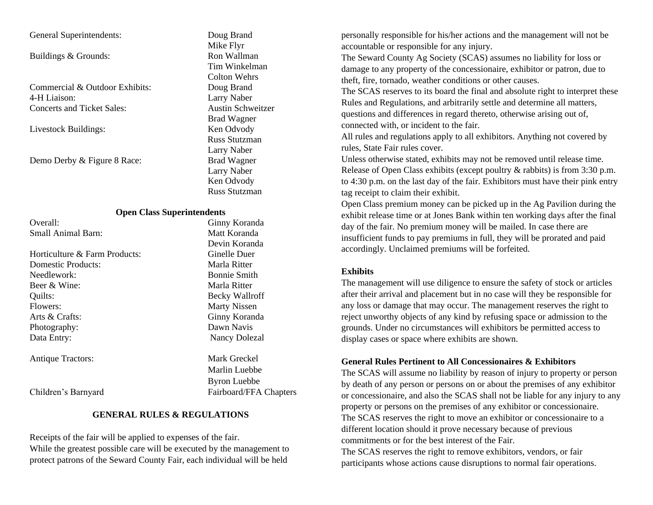General Superintendents: Doug Brand

Buildings & Grounds: Ron Wallman

Commercial & Outdoor Exhibits: Doug Brand 4-H Liaison: Larry Naber Concerts and Ticket Sales: Austin Schweitzer

Livestock Buildings: Ken Odvody

Demo Derby & Figure 8 Race: Brad Wagner

#### **Open Class Superintendents**

Overall: Ginny Koranda Small Animal Barn: Matt Koranda

Horticulture & Farm Products: Ginelle Duer Domestic Products: Marla Ritter Needlework: Bonnie Smith Beer & Wine: Marla Ritter Quilts: Becky Wallroff Flowers: Marty Nissen Arts & Crafts: Ginny Koranda Photography: Dawn Navis Data Entry: Nancy Dolezal

Antique Tractors: Mark Greckel

Children's Barnyard Fairboard/FFA Chapters

#### **GENERAL RULES & REGULATIONS**

Receipts of the fair will be applied to expenses of the fair.

While the greatest possible care will be executed by the management to protect patrons of the Seward County Fair, each individual will be held

 Mike Flyr Tim Winkelman Colton Wehrs Brad Wagner Russ Stutzman Larry Naber Larry Naber Ken Odvody Russ Stutzman

Devin Koranda

Marlin Luebbe Byron Luebbe

personally responsible for his/her actions and the management will not be accountable or responsible for any injury.

The Seward County Ag Society (SCAS) assumes no liability for loss or damage to any property of the concessionaire, exhibitor or patron, due to theft, fire, tornado, weather conditions or other causes.

The SCAS reserves to its board the final and absolute right to interpret these Rules and Regulations, and arbitrarily settle and determine all matters, questions and differences in regard thereto, otherwise arising out of, connected with, or incident to the fair.

All rules and regulations apply to all exhibitors. Anything not covered by rules, State Fair rules cover.

Unless otherwise stated, exhibits may not be removed until release time. Release of Open Class exhibits (except poultry & rabbits) is from 3:30 p.m. to 4:30 p.m. on the last day of the fair. Exhibitors must have their pink entry tag receipt to claim their exhibit.

Open Class premium money can be picked up in the Ag Pavilion during the exhibit release time or at Jones Bank within ten working days after the final day of the fair. No premium money will be mailed. In case there are insufficient funds to pay premiums in full, they will be prorated and paid accordingly. Unclaimed premiums will be forfeited.

#### **Exhibits**

The management will use diligence to ensure the safety of stock or articles after their arrival and placement but in no case will they be responsible for any loss or damage that may occur. The management reserves the right to reject unworthy objects of any kind by refusing space or admission to the grounds. Under no circumstances will exhibitors be permitted access to display cases or space where exhibits are shown.

#### **General Rules Pertinent to All Concessionaires & Exhibitors**

The SCAS will assume no liability by reason of injury to property or person by death of any person or persons on or about the premises of any exhibitor or concessionaire, and also the SCAS shall not be liable for any injury to any property or persons on the premises of any exhibitor or concessionaire. The SCAS reserves the right to move an exhibitor or concessionaire to a different location should it prove necessary because of previous commitments or for the best interest of the Fair. The SCAS reserves the right to remove exhibitors, vendors, or fair

participants whose actions cause disruptions to normal fair operations.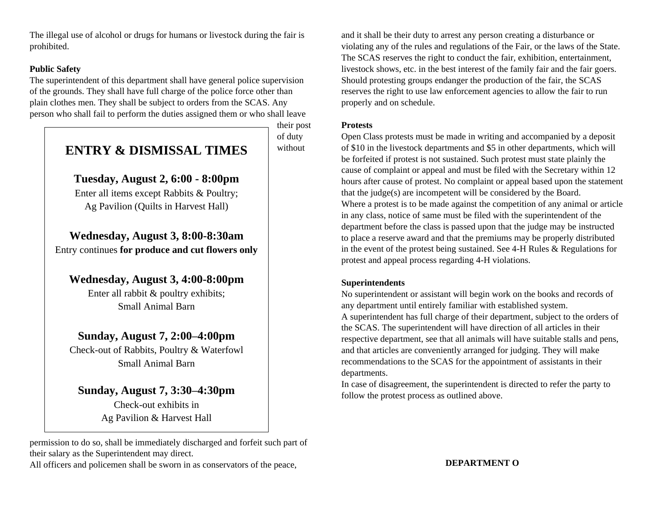The illegal use of alcohol or drugs for humans or livestock during the fair is prohibited.

## **Public Safety**

The superintendent of this department shall have general police supervision of the grounds. They shall have full charge of the police force other than plain clothes men. They shall be subject to orders from the SCAS. Any person who shall fail to perform the duties assigned them or who shall leave

## their post of duty without

**Tuesday, August 2, 6:00 - 8:00pm** Enter all items except Rabbits & Poultry; Ag Pavilion (Quilts in Harvest Hall)

**ENTRY & DISMISSAL TIMES**

**Wednesday, August 3, 8:00-8:30am** Entry continues **for produce and cut flowers only** 

**Wednesday, August 3, 4:00-8:00pm** Enter all rabbit & poultry exhibits; Small Animal Barn

**Sunday, August 7, 2:00–4:00pm** Check-out of Rabbits, Poultry & Waterfowl Small Animal Barn

**Sunday, August 7, 3:30–4:30pm** Check-out exhibits in Ag Pavilion & Harvest Hall

permission to do so, shall be immediately discharged and forfeit such part of their salary as the Superintendent may direct.

All officers and policemen shall be sworn in as conservators of the peace,

and it shall be their duty to arrest any person creating a disturbance or violating any of the rules and regulations of the Fair, or the laws of the State. The SCAS reserves the right to conduct the fair, exhibition, entertainment, livestock shows, etc. in the best interest of the family fair and the fair goers. Should protesting groups endanger the production of the fair, the SCAS reserves the right to use law enforcement agencies to allow the fair to run properly and on schedule.

#### **Protests**

Open Class protests must be made in writing and accompanied by a deposit of \$10 in the livestock departments and \$5 in other departments, which will be forfeited if protest is not sustained. Such protest must state plainly the cause of complaint or appeal and must be filed with the Secretary within 12 hours after cause of protest. No complaint or appeal based upon the statement that the judge(s) are incompetent will be considered by the Board. Where a protest is to be made against the competition of any animal or article in any class, notice of same must be filed with the superintendent of the department before the class is passed upon that the judge may be instructed to place a reserve award and that the premiums may be properly distributed in the event of the protest being sustained. See 4-H Rules & Regulations for protest and appeal process regarding 4-H violations.

#### **Superintendents**

No superintendent or assistant will begin work on the books and records of any department until entirely familiar with established system. A superintendent has full charge of their department, subject to the orders of the SCAS. The superintendent will have direction of all articles in their respective department, see that all animals will have suitable stalls and pens, and that articles are conveniently arranged for judging. They will make recommendations to the SCAS for the appointment of assistants in their departments.

In case of disagreement, the superintendent is directed to refer the party to follow the protest process as outlined above.

## **DEPARTMENT O**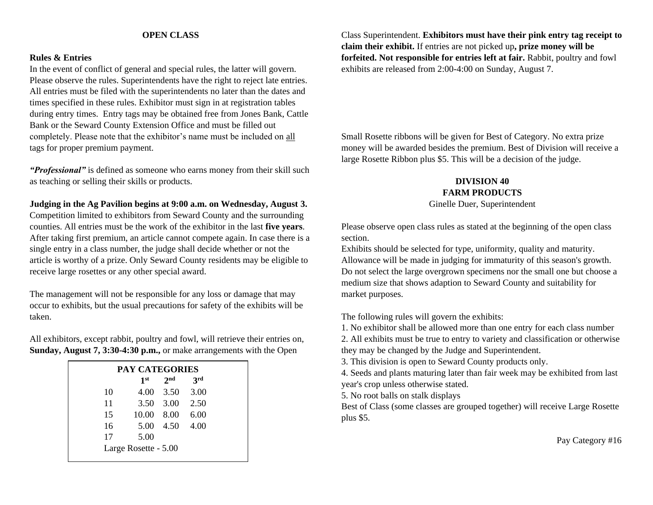#### **OPEN CLASS**

#### **Rules & Entries**

In the event of conflict of general and special rules, the latter will govern. Please observe the rules. Superintendents have the right to reject late entries. All entries must be filed with the superintendents no later than the dates and times specified in these rules. Exhibitor must sign in at registration tables during entry times. Entry tags may be obtained free from Jones Bank, Cattle Bank or the Seward County Extension Office and must be filled out completely. Please note that the exhibitor's name must be included on all tags for proper premium payment.

*"Professional"* is defined as someone who earns money from their skill such as teaching or selling their skills or products.

#### **Judging in the Ag Pavilion begins at 9:00 a.m. on Wednesday, August 3.**

Competition limited to exhibitors from Seward County and the surrounding counties. All entries must be the work of the exhibitor in the last **five years**. After taking first premium, an article cannot compete again. In case there is a single entry in a class number, the judge shall decide whether or not the article is worthy of a prize. Only Seward County residents may be eligible to receive large rosettes or any other special award.

The management will not be responsible for any loss or damage that may occur to exhibits, but the usual precautions for safety of the exhibits will be taken.

All exhibitors, except rabbit, poultry and fowl, will retrieve their entries on, **Sunday, August 7, 3:30-4:30 p.m.,** or make arrangements with the Open

|    | <b>PAY CATEGORIES</b> |                 |                 |
|----|-----------------------|-----------------|-----------------|
|    | 1 <sup>st</sup>       | 2 <sub>nd</sub> | $\mathbf{a}$ rd |
| 10 |                       | 4.00 3.50 3.00  |                 |
| 11 | 3.50                  | 3.00            | 2.50            |
| 15 | 10.00                 | 8.00            | 6.00            |
| 16 | 5.00 4.50             |                 | 4.00            |
| 17 | 5.00                  |                 |                 |
|    | Large Rosette - 5.00  |                 |                 |

Class Superintendent. **Exhibitors must have their pink entry tag receipt to claim their exhibit.** If entries are not picked up**, prize money will be forfeited. Not responsible for entries left at fair.** Rabbit, poultry and fowl exhibits are released from 2:00-4:00 on Sunday, August 7.

Small Rosette ribbons will be given for Best of Category. No extra prize money will be awarded besides the premium. Best of Division will receive a large Rosette Ribbon plus \$5. This will be a decision of the judge.

## **DIVISION 40 FARM PRODUCTS**

Ginelle Duer, Superintendent

Please observe open class rules as stated at the beginning of the open class section.

Exhibits should be selected for type, uniformity, quality and maturity. Allowance will be made in judging for immaturity of this season's growth. Do not select the large overgrown specimens nor the small one but choose a medium size that shows adaption to Seward County and suitability for market purposes.

The following rules will govern the exhibits:

1. No exhibitor shall be allowed more than one entry for each class number 2. All exhibits must be true to entry to variety and classification or otherwise they may be changed by the Judge and Superintendent.

3. This division is open to Seward County products only.

4. Seeds and plants maturing later than fair week may be exhibited from last year's crop unless otherwise stated.

5. No root balls on stalk displays

Best of Class (some classes are grouped together) will receive Large Rosette plus \$5.

Pay Category #16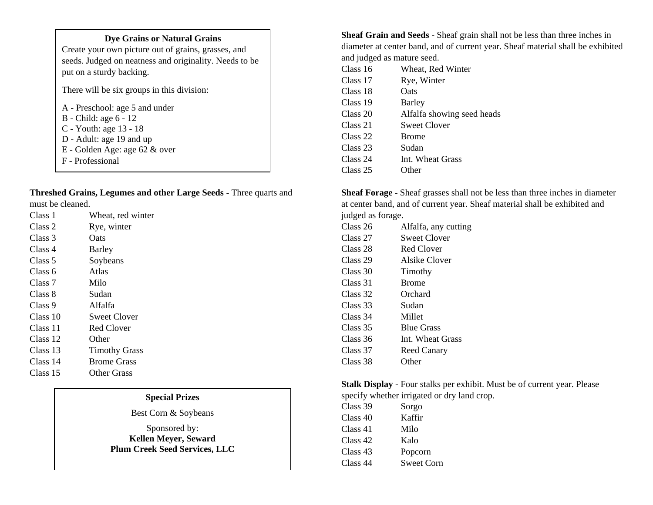| <b>Dye Grains or Natural Grains</b><br>Create your own picture out of grains, grasses, and<br>seeds. Judged on neatness and originality. Needs to be<br>put on a sturdy backing. |
|----------------------------------------------------------------------------------------------------------------------------------------------------------------------------------|
| There will be six groups in this division:                                                                                                                                       |
| A - Preschool: age 5 and under<br>B - Child: age 6 - 12<br>C - Youth: age 13 - 18<br>D - Adult: age 19 and up<br>E - Golden Age: age 62 & over<br>F - Professional               |

**Threshed Grains, Legumes and other Large Seeds** - Three quarts and must be cleaned.

| Class 1  | Wheat, red winter    |
|----------|----------------------|
| Class 2  | Rye, winter          |
| Class 3  | Oats                 |
| Class 4  | Barley               |
| Class 5  | Soybeans             |
| Class 6  | Atlas                |
| Class 7  | Milo                 |
| Class 8  | Sudan                |
| Class 9  | Alfalfa              |
| Class 10 | Sweet Clover         |
| Class 11 | Red Clover           |
| Class 12 | Other                |
| Class 13 | <b>Timothy Grass</b> |
| Class 14 | <b>Brome Grass</b>   |
| Class 15 | <b>Other Grass</b>   |

## **Special Prizes**

Best Corn & Soybeans

Sponsored by: **Kellen Meyer, Seward Plum Creek Seed Services, LLC** **Sheaf Grain and Seeds** - Sheaf grain shall not be less than three inches in diameter at center band, and of current year. Sheaf material shall be exhibited and judged as mature seed.

| Class 16 | Wheat, Red Winter          |
|----------|----------------------------|
| Class 17 | Rye, Winter                |
| Class 18 | Oats                       |
| Class 19 | Barley                     |
| Class 20 | Alfalfa showing seed heads |
| Class 21 | <b>Sweet Clover</b>        |
| Class 22 | <b>Brome</b>               |
| Class 23 | Sudan                      |
| Class 24 | Int. Wheat Grass           |
| Class 25 | Other                      |

**Sheaf Forage** - Sheaf grasses shall not be less than three inches in diameter at center band, and of current year. Sheaf material shall be exhibited and judged as forage.

| Class <sub>26</sub> | Alfalfa, any cutting |
|---------------------|----------------------|
| Class 27            | Sweet Clover         |
| Class 28            | Red Clover           |
| Class 29            | Alsike Clover        |
| Class 30            | Timothy              |
| Class 31            | <b>Brome</b>         |
| Class 32            | Orchard              |
| Class 33            | Sudan                |
| Class 34            | Millet               |
| Class 35            | <b>Blue Grass</b>    |
| Class 36            | Int. Wheat Grass     |
| Class 37            | <b>Reed Canary</b>   |
| Class 38            | Other                |
|                     |                      |

**Stalk Display** - Four stalks per exhibit. Must be of current year. Please specify whether irrigated or dry land crop.

| Class 39 | Sorgo             |
|----------|-------------------|
| Class 40 | Kaffir            |
| Class 41 | Milo              |
| Class 42 | Kalo              |
| Class 43 | Popcorn           |
| Class 44 | <b>Sweet Corn</b> |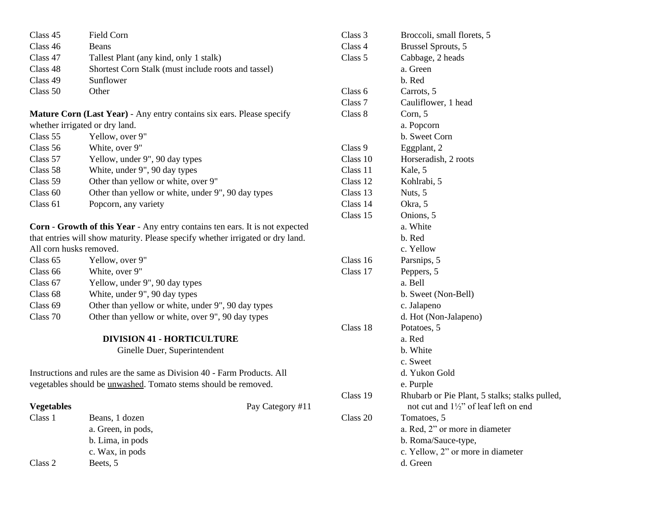| Class 45 | Field Corn                                          |
|----------|-----------------------------------------------------|
| Class 46 | Beans                                               |
| Class 47 | Tallest Plant (any kind, only 1 stalk)              |
| Class 48 | Shortest Corn Stalk (must include roots and tassel) |
| Class 49 | Sunflower                                           |
| Class 50 | Other                                               |

**Mature Corn (Last Year)** - Any entry contains six ears. Please specify whether irrigated or dry land.

| Class 55 | Yellow, over 9"                                    |
|----------|----------------------------------------------------|
| Class 56 | White, over 9"                                     |
| Class 57 | Yellow, under 9", 90 day types                     |
| Class 58 | White, under 9", 90 day types                      |
| Class 59 | Other than yellow or white, over 9"                |
| Class 60 | Other than yellow or white, under 9", 90 day types |
| Class 61 | Popcorn, any variety                               |

**Corn** - **Growth of this Year** - Any entry contains ten ears. It is not expected that entries will show maturity. Please specify whether irrigated or dry land. All corn husks removed.

| Class 65 | Yellow, over 9"                                    |
|----------|----------------------------------------------------|
| Class 66 | White, over 9"                                     |
| Class 67 | Yellow, under 9", 90 day types                     |
| Class 68 | White, under 9", 90 day types                      |
| Class 69 | Other than yellow or white, under 9", 90 day types |
| Class 70 | Other than yellow or white, over 9", 90 day types  |

## **DIVISION 41 - HORTICULTURE** Ginelle Duer, Superintendent

Instructions and rules are the same as Division 40 - Farm Products. All vegetables should be unwashed. Tomato stems should be removed.

| <b>Vegetables</b> |                    | Pay Category #11 |
|-------------------|--------------------|------------------|
| Class 1           | Beans, 1 dozen     |                  |
|                   | a. Green, in pods, |                  |
|                   | b. Lima, in pods   |                  |
|                   | c. Wax, in pods    |                  |
| Class 2           | Beets, 5           |                  |

| Class 3  | Broccoli, small florets, 5                     |
|----------|------------------------------------------------|
| Class 4  | <b>Brussel Sprouts, 5</b>                      |
| Class 5  | Cabbage, 2 heads                               |
|          | a. Green                                       |
|          | b. Red                                         |
| Class 6  | Carrots, 5                                     |
| Class 7  | Cauliflower, 1 head                            |
| Class 8  | Corn, 5                                        |
|          | a. Popcorn                                     |
|          | b. Sweet Corn                                  |
| Class 9  | Eggplant, 2                                    |
| Class 10 | Horseradish, 2 roots                           |
| Class 11 | Kale, 5                                        |
| Class 12 | Kohlrabi, 5                                    |
| Class 13 | Nuts, 5                                        |
| Class 14 | Okra, 5                                        |
| Class 15 | Onions, 5                                      |
|          | a. White                                       |
|          | b. Red                                         |
|          | c. Yellow                                      |
| Class 16 | Parsnips, 5                                    |
| Class 17 | Peppers, 5                                     |
|          | a. Bell                                        |
|          | b. Sweet (Non-Bell)                            |
|          | c. Jalapeno                                    |
|          | d. Hot (Non-Jalapeno)                          |
| Class 18 | Potatoes, 5                                    |
|          | a. Red                                         |
|          | b. White                                       |
|          | c. Sweet                                       |
|          | d. Yukon Gold                                  |
|          | e. Purple                                      |
| Class 19 | Rhubarb or Pie Plant, 5 stalks; stalks pulled, |
|          | not cut and 11/2" of leaf left on end          |
| Class 20 | Tomatoes, 5                                    |
|          | a. Red, 2" or more in diameter                 |
|          | b. Roma/Sauce-type,                            |
|          | c. Yellow, 2" or more in diameter              |
|          | d. Green                                       |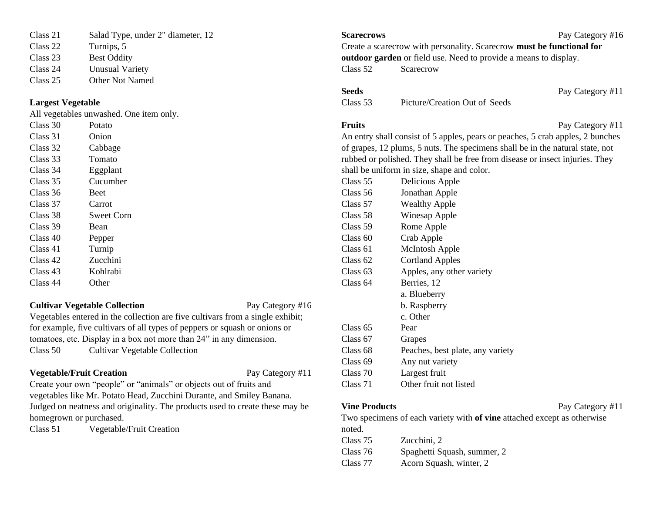| Class 21 | Salad Type, under 2" diameter, 12 |  |
|----------|-----------------------------------|--|
| Class 22 | Turnips, 5                        |  |

Class 23 Best Oddity

Class 24 Unusual Variety

Class 25 Other Not Named

## **Largest Vegetable**

All vegetables unwashed. One item only.

| Potato      |
|-------------|
| Onion       |
| Cabbage     |
| Tomato      |
| Eggplant    |
| Cucumber    |
| <b>Beet</b> |
| Carrot      |
| Sweet Corn  |
| Bean        |
| Pepper      |
| Turnip      |
| Zucchini    |
| Kohlrabi    |
| Other       |
|             |

## **Cultivar Vegetable Collection** Pay Category #16

Vegetables entered in the collection are five cultivars from a single exhibit; for example, five cultivars of all types of peppers or squash or onions or tomatoes, etc. Display in a box not more than 24" in any dimension. Class 50 Cultivar Vegetable Collection

## **Vegetable/Fruit Creation** Pay Category #11

Create your own "people" or "animals" or objects out of fruits and vegetables like Mr. Potato Head, Zucchini Durante, and Smiley Banana. Judged on neatness and originality. The products used to create these may be homegrown or purchased.

Class 51 Vegetable/Fruit Creation

## **Scarecrows** Pay Category #16

Create a scarecrow with personality. Scarecrow **must be functional for outdoor garden** or field use. Need to provide a means to display. Class 52 Scarecrow

Class 53 Picture/Creation Out of Seeds

An entry shall consist of 5 apples, pears or peaches, 5 crab apples, 2 bunches of grapes, 12 plums, 5 nuts. The specimens shall be in the natural state, not rubbed or polished. They shall be free from disease or insect injuries. They shall be uniform in size, shape and color.

| $\frac{1}{2}$ or annorm in size, shape and color. |                                  |  |
|---------------------------------------------------|----------------------------------|--|
| Class 55                                          | Delicious Apple                  |  |
| Class 56                                          | Jonathan Apple                   |  |
| Class 57                                          | <b>Wealthy Apple</b>             |  |
| Class 58                                          | Winesap Apple                    |  |
| Class 59                                          | Rome Apple                       |  |
| Class 60                                          | Crab Apple                       |  |
| Class 61                                          | <b>McIntosh Apple</b>            |  |
| Class <sub>62</sub>                               | <b>Cortland Apples</b>           |  |
| Class <sub>63</sub>                               | Apples, any other variety        |  |
| Class 64                                          | Berries, 12                      |  |
|                                                   | a. Blueberry                     |  |
|                                                   | b. Raspberry                     |  |
|                                                   | c. Other                         |  |
| Class 65                                          | Pear                             |  |
| Class 67                                          | Grapes                           |  |
| Class 68                                          | Peaches, best plate, any variety |  |
| Class 69                                          | Any nut variety                  |  |
| Class 70                                          | Largest fruit                    |  |
| Class 71                                          | Other fruit not listed           |  |

Two specimens of each variety with **of vine** attached except as otherwise noted.

| Class 75 | Zucchini, 2                 |
|----------|-----------------------------|
| Class 76 | Spaghetti Squash, summer, 2 |
| Class 77 | Acorn Squash, winter, 2     |

**Seeds** Pay Category #11

**Fruits** Pay Category #11

**Vine Products Pay Category #11**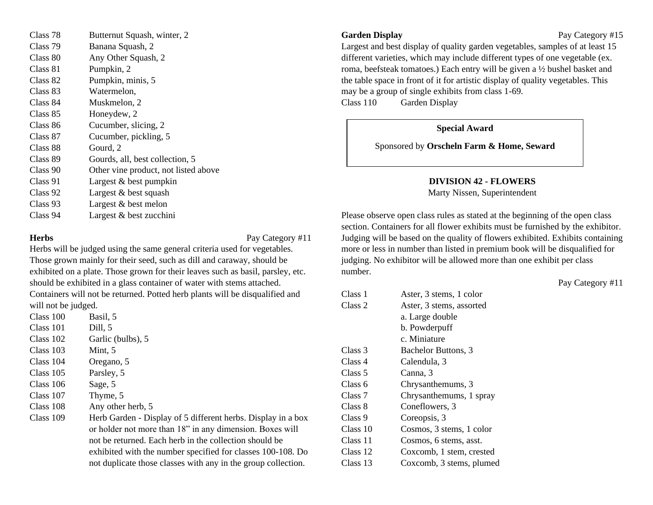Class 78 Butternut Squash, winter, 2 Class 79 Banana Squash, 2 Class 80 Any Other Squash, 2 Class 81 Pumpkin, 2 Class 82 Pumpkin, minis, 5 Class 83 Watermelon, Class 84 Muskmelon, 2 Class 85 Honeydew, 2 Class 86 Cucumber, slicing, 2 Class 87 Cucumber, pickling, 5 Class 88 Gourd, 2 Class 89 Gourds, all, best collection, 5 Class 90 Other vine product, not listed above Class 91 Largest & best pumpkin Class 92 Largest & best squash Class 93 Largest & best melon Class 94 Largest & best zucchini

**Herbs** Pay Category #11

Herbs will be judged using the same general criteria used for vegetables. Those grown mainly for their seed, such as dill and caraway, should be exhibited on a plate. Those grown for their leaves such as basil, parsley, etc. should be exhibited in a glass container of water with stems attached. Containers will not be returned. Potted herb plants will be disqualified and

will not be judged.

Class 100 Basil, 5 Class 101 Dill, 5 Class 102 Garlic (bulbs), 5 Class 103 Mint, 5 Class 104 Oregano, 5 Class 105 Parsley, 5 Class 106 Sage, 5 Class 107 Thyme, 5 Class 108 Any other herb, 5 Class 109 Herb Garden - Display of 5 different herbs. Display in a box or holder not more than 18" in any dimension. Boxes will not be returned. Each herb in the collection should be exhibited with the number specified for classes 100-108. Do not duplicate those classes with any in the group collection.

Garden Display Pay Category #15

Largest and best display of quality garden vegetables, samples of at least 15 different varieties, which may include different types of one vegetable (ex. roma, beefsteak tomatoes.) Each entry will be given a ½ bushel basket and the table space in front of it for artistic display of quality vegetables. This may be a group of single exhibits from class 1-69.

Class 110 Garden Display

**Special Award**

Sponsored by **Orscheln Farm & Home, Seward**

## **DIVISION 42 - FLOWERS**

Marty Nissen, Superintendent

Please observe open class rules as stated at the beginning of the open class section. Containers for all flower exhibits must be furnished by the exhibitor. Judging will be based on the quality of flowers exhibited. Exhibits containing more or less in number than listed in premium book will be disqualified for judging. No exhibitor will be allowed more than one exhibit per class number.

Pay Category #11

| Class 1            | Aster, 3 stems, 1 color    |
|--------------------|----------------------------|
| Class 2            | Aster, 3 stems, assorted   |
|                    | a. Large double            |
|                    | b. Powderpuff              |
|                    | c. Miniature               |
| Class 3            | <b>Bachelor Buttons, 3</b> |
| Class 4            | Calendula, 3               |
| Class 5            | Canna, 3                   |
| Class 6            | Chrysanthemums, 3          |
| Class <sub>7</sub> | Chrysanthemums, 1 spray    |
| Class 8            | Coneflowers, 3             |
| Class 9            | Coreopsis, 3               |
| Class 10           | Cosmos, 3 stems, 1 color   |
| Class 11           | Cosmos, 6 stems, asst.     |
| Class 12           | Coxcomb, 1 stem, crested   |
| Class 13           | Coxcomb, 3 stems, plumed   |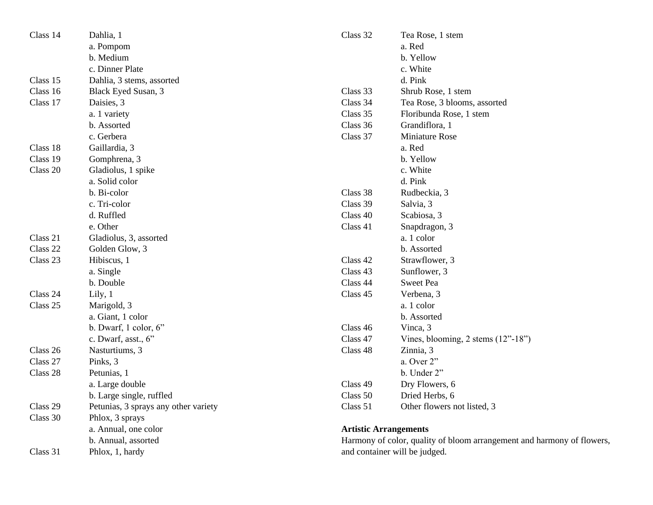| Class 14 | Dahlia, 1                            | Class 32                     | Tea Rose, 1 stem                                                       |
|----------|--------------------------------------|------------------------------|------------------------------------------------------------------------|
|          | a. Pompom                            |                              | a. Red                                                                 |
|          | b. Medium                            |                              | b. Yellow                                                              |
|          | c. Dinner Plate                      |                              | c. White                                                               |
| Class 15 | Dahlia, 3 stems, assorted            |                              | d. Pink                                                                |
| Class 16 | Black Eyed Susan, 3                  | Class 33                     | Shrub Rose, 1 stem                                                     |
| Class 17 | Daisies, 3                           | Class 34                     | Tea Rose, 3 blooms, assorted                                           |
|          | a. 1 variety                         | Class 35                     | Floribunda Rose, 1 stem                                                |
|          | b. Assorted                          | Class 36                     | Grandiflora, 1                                                         |
|          | c. Gerbera                           | Class 37                     | <b>Miniature Rose</b>                                                  |
| Class 18 | Gaillardia, 3                        |                              | a. Red                                                                 |
| Class 19 | Gomphrena, 3                         |                              | b. Yellow                                                              |
| Class 20 | Gladiolus, 1 spike                   |                              | c. White                                                               |
|          | a. Solid color                       |                              | d. Pink                                                                |
|          | b. Bi-color                          | Class 38                     | Rudbeckia, 3                                                           |
|          | c. Tri-color                         | Class 39                     | Salvia, 3                                                              |
|          | d. Ruffled                           | Class 40                     | Scabiosa, 3                                                            |
|          | e. Other                             | Class 41                     | Snapdragon, 3                                                          |
| Class 21 | Gladiolus, 3, assorted               |                              | a. 1 color                                                             |
| Class 22 | Golden Glow, 3                       |                              | b. Assorted                                                            |
| Class 23 | Hibiscus, 1                          | Class 42                     | Strawflower, 3                                                         |
|          | a. Single                            | Class 43                     | Sunflower, 3                                                           |
|          | b. Double                            | Class 44                     | <b>Sweet Pea</b>                                                       |
| Class 24 | Lily, $1$                            | Class 45                     | Verbena, 3                                                             |
| Class 25 | Marigold, 3                          |                              | a. 1 color                                                             |
|          | a. Giant, 1 color                    |                              | b. Assorted                                                            |
|          | b. Dwarf, 1 color, 6"                | Class 46                     | Vinca, 3                                                               |
|          | c. Dwarf, asst., 6"                  | Class 47                     | Vines, blooming, 2 stems $(12"$ -18")                                  |
| Class 26 | Nasturtiums, 3                       | Class 48                     | Zinnia, 3                                                              |
| Class 27 | Pinks, 3                             |                              | a. Over 2"                                                             |
| Class 28 | Petunias, 1                          |                              | b. Under 2"                                                            |
|          | a. Large double                      | Class 49                     | Dry Flowers, 6                                                         |
|          | b. Large single, ruffled             | Class 50                     | Dried Herbs, 6                                                         |
| Class 29 | Petunias, 3 sprays any other variety | Class 51                     | Other flowers not listed, 3                                            |
| Class 30 | Phlox, 3 sprays                      |                              |                                                                        |
|          | a. Annual, one color                 | <b>Artistic Arrangements</b> |                                                                        |
|          | b. Annual, assorted                  |                              | Harmony of color, quality of bloom arrangement and harmony of flowers, |
| Class 31 | Phlox, 1, hardy                      |                              | and container will be judged.                                          |
|          |                                      |                              |                                                                        |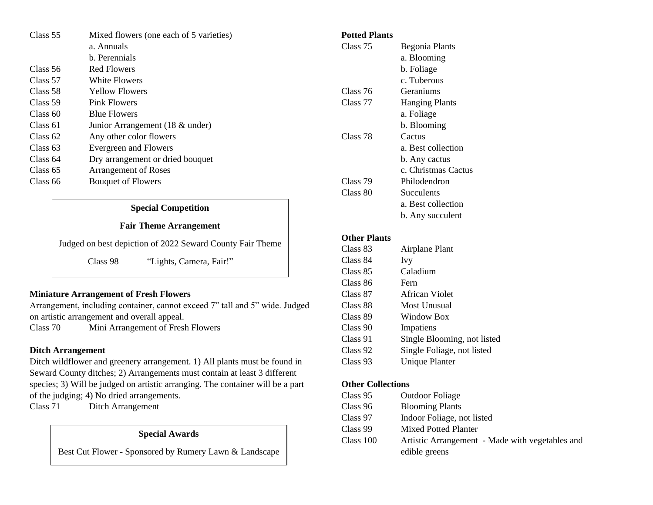| Class 55   | Mixed flowers (one each of 5 varieties) |
|------------|-----------------------------------------|
|            | a. Annuals                              |
|            | b. Perennials                           |
| Class 56   | Red Flowers                             |
| Class 57   | White Flowers                           |
| Class 58   | <b>Yellow Flowers</b>                   |
| Class 59   | <b>Pink Flowers</b>                     |
| Class 60   | <b>Blue Flowers</b>                     |
| Class 61   | Junior Arrangement (18 $&$ under)       |
| Class $62$ | Any other color flowers                 |
| Class $63$ | Evergreen and Flowers                   |
| Class 64   | Dry arrangement or dried bouquet        |
| Class $65$ | <b>Arrangement of Roses</b>             |
| Class 66   | <b>Bouquet of Flowers</b>               |
|            |                                         |

## **Special Competition**

#### **Fair Theme Arrangement**

Judged on best depiction of 2022 Seward County Fair Theme

Class 98 "Lights, Camera, Fair!"

## **Miniature Arrangement of Fresh Flowers**

Arrangement, including container, cannot exceed 7" tall and 5" wide. Judged on artistic arrangement and overall appeal.

Class 70 Mini Arrangement of Fresh Flowers

## **Ditch Arrangement**

Ditch wildflower and greenery arrangement. 1) All plants must be found in Seward County ditches; 2) Arrangements must contain at least 3 different species; 3) Will be judged on artistic arranging. The container will be a part of the judging; 4) No dried arrangements.

Class 71 Ditch Arrangement

#### **Special Awards**

Best Cut Flower - Sponsored by Rumery Lawn & Landscape

#### **Potted Plants**

| Begonia Plants        |
|-----------------------|
| a. Blooming           |
| b. Foliage            |
| c. Tuberous           |
| Geraniums             |
| <b>Hanging Plants</b> |
| a. Foliage            |
| b. Blooming           |
| Cactus                |
| a. Best collection    |
| b. Any cactus         |
| c. Christmas Cactus   |
| Philodendron          |
| Succulents            |
| a. Best collection    |
| b. Any succulent      |
|                       |

#### **Other Plants**

| Class 83 | Airplane Plant              |
|----------|-----------------------------|
| Class 84 | Ivy                         |
| Class 85 | Caladium                    |
| Class 86 | Fern                        |
| Class 87 | African Violet              |
| Class 88 | Most Unusual                |
| Class 89 | Window Box                  |
| Class 90 | Impatiens                   |
| Class 91 | Single Blooming, not listed |
| Class 92 | Single Foliage, not listed  |
| Class 93 | <b>Unique Planter</b>       |

#### **Other Collections**

| Class 95  | <b>Outdoor Foliage</b>                          |
|-----------|-------------------------------------------------|
| Class 96  | <b>Blooming Plants</b>                          |
| Class 97  | Indoor Foliage, not listed                      |
| Class 99  | Mixed Potted Planter                            |
| Class 100 | Artistic Arrangement - Made with vegetables and |
|           | edible greens                                   |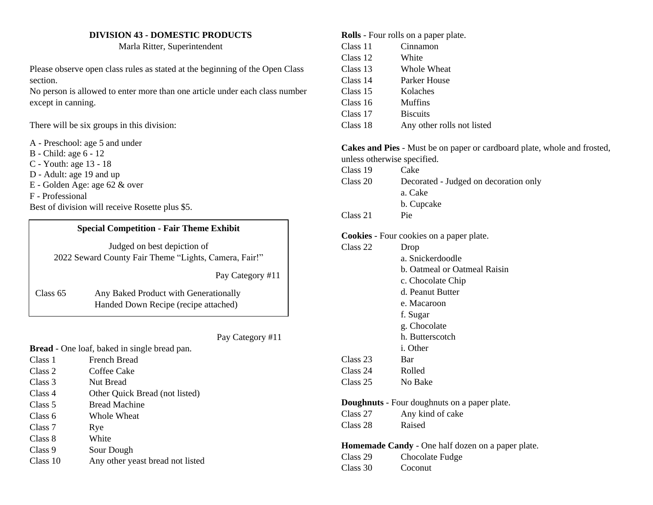## **DIVISION 43 - DOMESTIC PRODUCTS**

Marla Ritter, Superintendent

Please observe open class rules as stated at the beginning of the Open Class section.

No person is allowed to enter more than one article under each class number except in canning.

There will be six groups in this division:

A - Preschool: age 5 and under B - Child: age 6 - 12 C - Youth: age 13 - 18 D - Adult: age 19 and up E - Golden Age: age 62 & over F - Professional Best of division will receive Rosette plus \$5.

## **Special Competition - Fair Theme Exhibit**

Judged on best depiction of 2022 Seward County Fair Theme "Lights, Camera, Fair!"

Pay Category #11

Class 65 Any Baked Product with Generationally Handed Down Recipe (recipe attached)

Pay Category #11

**Bread** - One loaf, baked in single bread pan.

| Class 1  | French Bread                     |
|----------|----------------------------------|
| Class 2  | Coffee Cake                      |
| Class 3  | Nut Bread                        |
| Class 4  | Other Quick Bread (not listed)   |
| Class 5  | <b>Bread Machine</b>             |
| Class 6  | Whole Wheat                      |
| Class 7  | Rye                              |
| Class 8  | White                            |
| Class 9  | Sour Dough                       |
| Class 10 | Any other yeast bread not listed |

| <b>Rolls</b> - Four rolls on a paper plate. |                            |  |
|---------------------------------------------|----------------------------|--|
| Class 11                                    | Cinnamon                   |  |
| Class 12                                    | White                      |  |
| Class 13                                    | Whole Wheat                |  |
| Class 14                                    | Parker House               |  |
| Class 15                                    | Kolaches                   |  |
| Class 16                                    | Muffins                    |  |
| Class 17                                    | <b>Biscuits</b>            |  |
| Class 18                                    | Any other rolls not listed |  |

**Cakes and Pies** - Must be on paper or cardboard plate, whole and frosted, unless otherwise specified.

Class 19 Cake Class 20 Decorated - Judged on decoration only a. Cake b. Cupcake Class 21 Pie

### **Cookies** - Four cookies on a paper plate.

| Class 22 | Drop                                |
|----------|-------------------------------------|
|          | a. Snickerdoodle                    |
|          | <b>b.</b> Oatmeal or Oatmeal Raisin |
|          | c. Chocolate Chip                   |
|          | d. Peanut Butter                    |
|          | e. Macaroon                         |
|          | f. Sugar                            |
|          | g. Chocolate                        |
|          | h. Butterscotch                     |
|          | <i>i</i> . Other                    |
| Class 23 | Bar                                 |
| Class 24 | Rolled                              |
| Class 25 | No Bake                             |
|          |                                     |

#### **Doughnuts** - Four doughnuts on a paper plate.

Class 27 Any kind of cake Class 28 Raised

### **Homemade Candy** - One half dozen on a paper plate.

| Class 29 | Chocolate Fudge |
|----------|-----------------|
| Class 30 | Coconut         |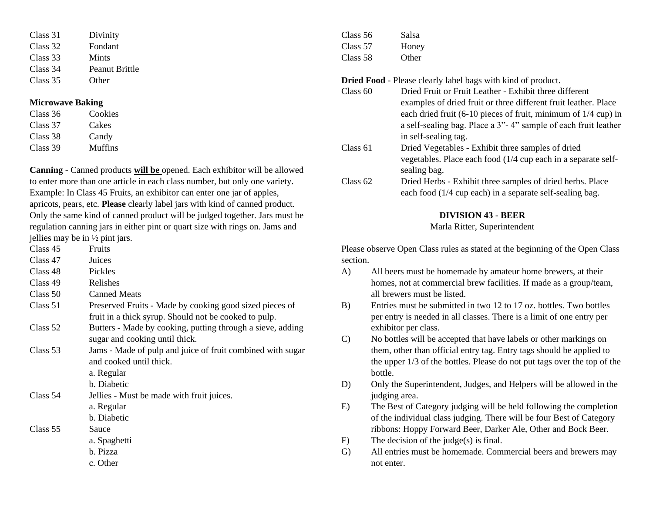| Class 31 | Divinity              |
|----------|-----------------------|
| Class 32 | Fondant               |
| Class 33 | Mints                 |
| Class 34 | <b>Peanut Brittle</b> |
| Class 35 | Other                 |
|          |                       |

#### **Microwave Baking**

Class 36 Cookies Class 37 Cakes Class 38 Candy Class 39 Muffins

**Canning** - Canned products **will be** opened. Each exhibitor will be allowed to enter more than one article in each class number, but only one variety. Example: In Class 45 Fruits, an exhibitor can enter one jar of apples, apricots, pears, etc. **Please** clearly label jars with kind of canned product. Only the same kind of canned product will be judged together. Jars must be regulation canning jars in either pint or quart size with rings on. Jams and jellies may be in ½ pint jars.

| Class 45 | Fruits                                                     |
|----------|------------------------------------------------------------|
| Class 47 | Juices                                                     |
| Class 48 | Pickles                                                    |
| Class 49 | Relishes                                                   |
| Class 50 | <b>Canned Meats</b>                                        |
| Class 51 | Preserved Fruits - Made by cooking good sized pieces of    |
|          | fruit in a thick syrup. Should not be cooked to pulp.      |
| Class 52 | Butters - Made by cooking, putting through a sieve, adding |
|          | sugar and cooking until thick.                             |
| Class 53 | Jams - Made of pulp and juice of fruit combined with sugar |
|          | and cooked until thick.                                    |
|          | a. Regular                                                 |
|          | b. Diabetic                                                |
| Class 54 | Jellies - Must be made with fruit juices.                  |
|          | a. Regular                                                 |
|          | b. Diabetic                                                |
| Class 55 | Sauce                                                      |
|          | a. Spaghetti                                               |
|          | b. Pizza                                                   |
|          | c. Other                                                   |

| Class 56 | Salsa  |
|----------|--------|
| Class 57 | Honey  |
| Class 58 | Other. |

## **Dried Food** - Please clearly label bags with kind of product.

- Class 60 Dried Fruit or Fruit Leather Exhibit three different examples of dried fruit or three different fruit leather. Place each dried fruit (6-10 pieces of fruit, minimum of 1/4 cup) in a self-sealing bag. Place a 3"- 4" sample of each fruit leather in self-sealing tag.
- Class 61 Dried Vegetables Exhibit three samples of dried vegetables. Place each food (1/4 cup each in a separate selfsealing bag.
- Class 62 Dried Herbs Exhibit three samples of dried herbs. Place each food (1/4 cup each) in a separate self-sealing bag.

## **DIVISION 43 - BEER**

Marla Ritter, Superintendent

Please observe Open Class rules as stated at the beginning of the Open Class section.

- A) All beers must be homemade by amateur home brewers, at their homes, not at commercial brew facilities. If made as a group/team, all brewers must be listed.
- B) Entries must be submitted in two 12 to 17 oz. bottles. Two bottles per entry is needed in all classes. There is a limit of one entry per exhibitor per class.
- C) No bottles will be accepted that have labels or other markings on them, other than official entry tag. Entry tags should be applied to the upper 1/3 of the bottles. Please do not put tags over the top of the bottle.
- D) Only the Superintendent, Judges, and Helpers will be allowed in the judging area.
- E) The Best of Category judging will be held following the completion of the individual class judging. There will be four Best of Category ribbons: Hoppy Forward Beer, Darker Ale, Other and Bock Beer.
- F) The decision of the judge(s) is final.
- G) All entries must be homemade. Commercial beers and brewers may not enter.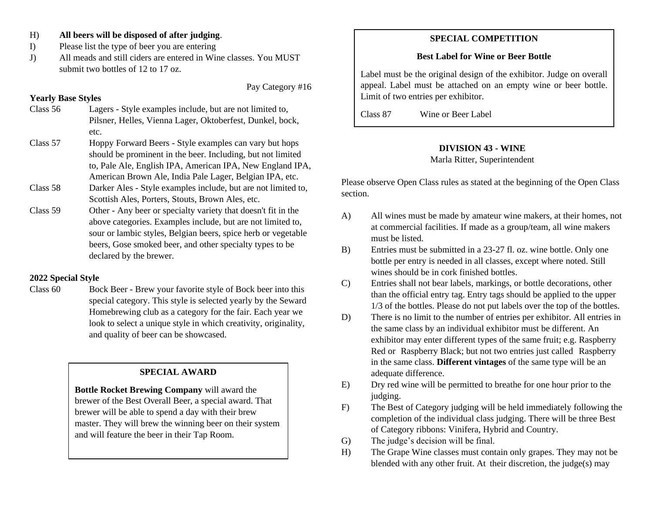- H) **All beers will be disposed of after judging**.
- I) Please list the type of beer you are entering
- J) All meads and still ciders are entered in Wine classes. You MUST submit two bottles of 12 to 17 oz.

Pay Category #16

## **Yearly Base Styles**

- Class 56 Lagers Style examples include, but are not limited to, Pilsner, Helles, Vienna Lager, Oktoberfest, Dunkel, bock, etc.
- Class 57 Hoppy Forward Beers Style examples can vary but hops should be prominent in the beer. Including, but not limited to, Pale Ale, English IPA, American IPA, New England IPA, American Brown Ale, India Pale Lager, Belgian IPA, etc.
- Class 58 Darker Ales Style examples include, but are not limited to, Scottish Ales, Porters, Stouts, Brown Ales, etc.
- Class 59 Other Any beer or specialty variety that doesn't fit in the above categories. Examples include, but are not limited to, sour or lambic styles, Belgian beers, spice herb or vegetable beers, Gose smoked beer, and other specialty types to be declared by the brewer.

## **2022 Special Style**

Class 60 Bock Beer - Brew your favorite style of Bock beer into this special category. This style is selected yearly by the Seward Homebrewing club as a category for the fair. Each year we look to select a unique style in which creativity, originality, and quality of beer can be showcased.

## **SPECIAL AWARD**

**Bottle Rocket Brewing Company** will award the brewer of the Best Overall Beer, a special award. That brewer will be able to spend a day with their brew master. They will brew the winning beer on their system and will feature the beer in their Tap Room.

## **SPECIAL COMPETITION**

## **Best Label for Wine or Beer Bottle**

Label must be the original design of the exhibitor. Judge on overall appeal. Label must be attached on an empty wine or beer bottle. Limit of two entries per exhibitor.

Class 87 Wine or Beer Label

## **DIVISION 43 - WINE**

### Marla Ritter, Superintendent

Please observe Open Class rules as stated at the beginning of the Open Class section.

- A) All wines must be made by amateur wine makers, at their homes, not at commercial facilities. If made as a group/team, all wine makers must be listed.
- B) Entries must be submitted in a 23-27 fl. oz. wine bottle. Only one bottle per entry is needed in all classes, except where noted. Still wines should be in cork finished bottles.
- C) Entries shall not bear labels, markings, or bottle decorations, other than the official entry tag. Entry tags should be applied to the upper 1/3 of the bottles. Please do not put labels over the top of the bottles.
- D) There is no limit to the number of entries per exhibitor. All entries in the same class by an individual exhibitor must be different. An exhibitor may enter different types of the same fruit; e.g. Raspberry Red or Raspberry Black; but not two entries just called Raspberry in the same class. **Different vintages** of the same type will be an adequate difference.
- E) Dry red wine will be permitted to breathe for one hour prior to the judging.
- F) The Best of Category judging will be held immediately following the completion of the individual class judging. There will be three Best of Category ribbons: Vinifera, Hybrid and Country.
- G) The judge's decision will be final.
- H) The Grape Wine classes must contain only grapes. They may not be blended with any other fruit. At their discretion, the judge(s) may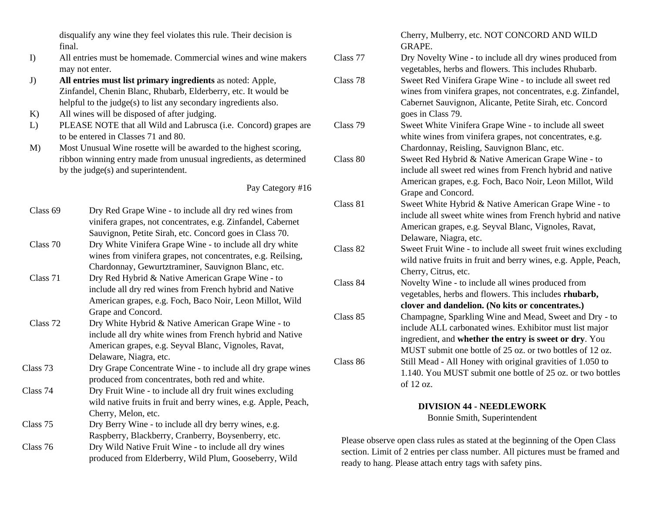disqualify any wine they feel violates this rule. Their decision is final.

- I) All entries must be homemade. Commercial wines and wine makers may not enter.
- J) **All entries must list primary ingredients** as noted: Apple, Zinfandel, Chenin Blanc, Rhubarb, Elderberry, etc. It would be helpful to the judge(s) to list any secondary ingredients also.
- K) All wines will be disposed of after judging.
- L) PLEASE NOTE that all Wild and Labrusca (i.e. Concord) grapes are to be entered in Classes 71 and 80.
- M) Most Unusual Wine rosette will be awarded to the highest scoring, ribbon winning entry made from unusual ingredients, as determined by the judge(s) and superintendent.

#### Pay Category #16

- Class 69 Dry Red Grape Wine to include all dry red wines from vinifera grapes, not concentrates, e.g. Zinfandel, Cabernet Sauvignon, Petite Sirah, etc. Concord goes in Class 70. Class 70 Dry White Vinifera Grape Wine - to include all dry white
- wines from vinifera grapes, not concentrates, e.g. Reilsing, Chardonnay, Gewurtztraminer, Sauvignon Blanc, etc.
- Class 71 Dry Red Hybrid & Native American Grape Wine to include all dry red wines from French hybrid and Native American grapes, e.g. Foch, Baco Noir, Leon Millot, Wild Grape and Concord.
- Class 72 Dry White Hybrid & Native American Grape Wine to include all dry white wines from French hybrid and Native American grapes, e.g. Seyval Blanc, Vignoles, Ravat, Delaware, Niagra, etc.
- Class 73 Dry Grape Concentrate Wine to include all dry grape wines produced from concentrates, both red and white.
- Class 74 Dry Fruit Wine to include all dry fruit wines excluding wild native fruits in fruit and berry wines, e.g. Apple, Peach, Cherry, Melon, etc.
- Class 75 Dry Berry Wine to include all dry berry wines, e.g. Raspberry, Blackberry, Cranberry, Boysenberry, etc.
- Class 76 Dry Wild Native Fruit Wine to include all dry wines produced from Elderberry, Wild Plum, Gooseberry, Wild

Cherry, Mulberry, etc. NOT CONCORD AND WILD GRAPE.

- Class 77 Dry Novelty Wine to include all dry wines produced from vegetables, herbs and flowers. This includes Rhubarb. Class 78 Sweet Red Vinifera Grape Wine - to include all sweet red wines from vinifera grapes, not concentrates, e.g. Zinfandel, Cabernet Sauvignon, Alicante, Petite Sirah, etc. Concord goes in Class 79. Class 79 Sweet White Vinifera Grape Wine - to include all sweet white wines from vinifera grapes, not concentrates, e.g. Chardonnay, Reisling, Sauvignon Blanc, etc. Class 80 Sweet Red Hybrid & Native American Grape Wine - to include all sweet red wines from French hybrid and native American grapes, e.g. Foch, Baco Noir, Leon Millot, Wild Grape and Concord. Class 81 Sweet White Hybrid & Native American Grape Wine - to include all sweet white wines from French hybrid and native American grapes, e.g. Seyval Blanc, Vignoles, Ravat, Delaware, Niagra, etc. Class 82 Sweet Fruit Wine - to include all sweet fruit wines excluding wild native fruits in fruit and berry wines, e.g. Apple, Peach, Cherry, Citrus, etc. Class 84 Novelty Wine - to include all wines produced from vegetables, herbs and flowers. This includes **rhubarb, clover and dandelion. (No kits or concentrates.)** Class 85 Champagne, Sparkling Wine and Mead, Sweet and Dry - to
- include ALL carbonated wines. Exhibitor must list major ingredient, and **whether the entry is sweet or dry**. You MUST submit one bottle of 25 oz. or two bottles of 12 oz. Class 86 Still Mead - All Honey with original gravities of 1.050 to 1.140. You MUST submit one bottle of 25 oz. or two bottles of 12 oz.

#### **DIVISION 44 - NEEDLEWORK**

Bonnie Smith, Superintendent

Please observe open class rules as stated at the beginning of the Open Class section. Limit of 2 entries per class number. All pictures must be framed and ready to hang. Please attach entry tags with safety pins.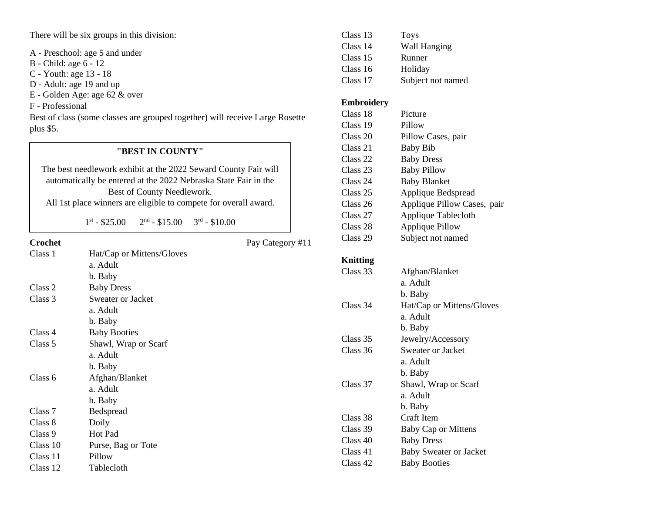There will be six groups in this division:

A - Preschool: age 5 and under

- B Child: age 6 12
- C Youth: age 13 18
- D Adult: age 19 and up
- E Golden Age: age 62 & over
- F Professional

Best of class (some classes are grouped together) will receive Large Rosette plus \$5.

## **"BEST IN COUNTY"**

The best needlework exhibit at the 2022 Seward County Fair will automatically be entered at the 2022 Nebraska State Fair in the Best of County Needlework.

All 1st place winners are eligible to compete for overall award.

 $1^{\text{st}}$  - \$25.00  $2^{\text{nd}}$  - \$15.00  $3^{\text{rd}}$  - \$10.00

| <b>Crochet</b> |                           | Pay Category #11 |
|----------------|---------------------------|------------------|
| Class 1        | Hat/Cap or Mittens/Gloves |                  |
|                | a. Adult                  |                  |
|                | b. Baby                   |                  |
| Class 2        | <b>Baby Dress</b>         |                  |
| Class 3        | Sweater or Jacket         |                  |
|                | a. Adult                  |                  |
|                | b. Baby                   |                  |
| Class 4        | <b>Baby Booties</b>       |                  |
| Class 5        | Shawl, Wrap or Scarf      |                  |
|                | a. Adult                  |                  |
|                | b. Baby                   |                  |
| Class 6        | Afghan/Blanket            |                  |
|                | a. Adult                  |                  |
|                | b. Baby                   |                  |
| Class 7        | Bedspread                 |                  |
| Class 8        | Doily                     |                  |
| Class 9        | Hot Pad                   |                  |
| Class 10       | Purse, Bag or Tote        |                  |
| Class 11       | Pillow                    |                  |
| Class 12       | Tablecloth                |                  |
|                |                           |                  |

| Class 13 | <b>Toys</b>         |
|----------|---------------------|
| Class 14 | <b>Wall Hanging</b> |
| Class 15 | Runner              |
| Class 16 | Holiday             |
| Class 17 | Subject not named   |
|          |                     |

## **Embroidery**

| Class 18 | Picture                     |
|----------|-----------------------------|
| Class 19 | Pillow                      |
| Class 20 | Pillow Cases, pair          |
| Class 21 | <b>Baby Bib</b>             |
| Class 22 | <b>Baby Dress</b>           |
| Class 23 | <b>Baby Pillow</b>          |
| Class 24 | <b>Baby Blanket</b>         |
| Class 25 | Applique Bedspread          |
| Class 26 | Applique Pillow Cases, pair |
| Class 27 | Applique Tablecloth         |
| Class 28 | <b>Applique Pillow</b>      |
| Class 29 | Subject not named           |

## **Knitting**

| Class 33 | Afghan/Blanket                |
|----------|-------------------------------|
|          | a. Adult                      |
|          | b. Baby                       |
| Class 34 | Hat/Cap or Mittens/Gloves     |
|          | a. Adult                      |
|          | b. Baby                       |
| Class 35 | Jewelry/Accessory             |
| Class 36 | <b>Sweater or Jacket</b>      |
|          | a. Adult                      |
|          | b. Baby                       |
| Class 37 | Shawl, Wrap or Scarf          |
|          | a. Adult                      |
|          | b. Baby                       |
| Class 38 | Craft Item                    |
| Class 39 | <b>Baby Cap or Mittens</b>    |
| Class 40 | <b>Baby Dress</b>             |
| Class 41 | <b>Baby Sweater or Jacket</b> |
| Class 42 | <b>Baby Booties</b>           |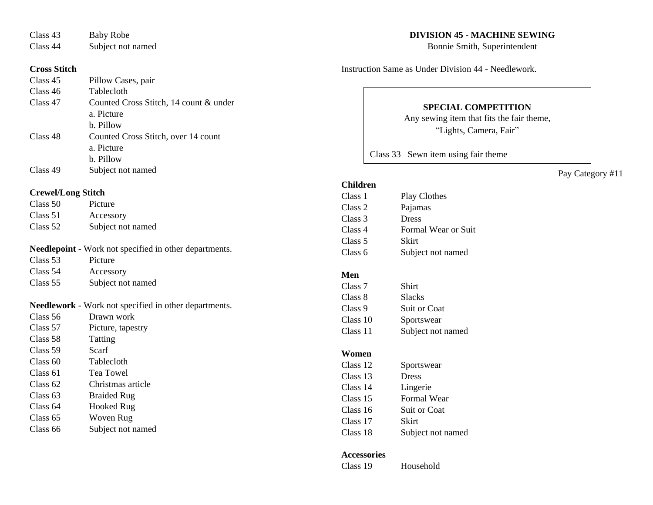| Class 43 | <b>Baby Robe</b>  |
|----------|-------------------|
| Class 44 | Subject not named |

## **Cross Stitch**

| Class 45 | Pillow Cases, pair                     |
|----------|----------------------------------------|
| Class 46 | Tablecloth                             |
| Class 47 | Counted Cross Stitch, 14 count & under |
|          | a. Picture                             |
|          | b. Pillow                              |
| Class 48 | Counted Cross Stitch, over 14 count    |
|          | a. Picture                             |
|          | b. Pillow                              |
| Class 49 | Subject not named                      |

#### **Crewel/Long Stitch**

| Class 50 | Picture           |
|----------|-------------------|
| Class 51 | Accessory         |
| Class 52 | Subject not named |

#### **Needlepoint** - Work not specified in other departments.

| Class 53 | Picture           |
|----------|-------------------|
| Class 54 | Accessory         |
| Class 55 | Subject not named |

## **Needlework** - Work not specified in other departments.

| Drawn work         |
|--------------------|
| Picture, tapestry  |
| Tatting            |
| Scarf              |
| Tablecloth         |
| Tea Towel          |
| Christmas article  |
| <b>Braided Rug</b> |
| Hooked Rug         |
| Woven Rug          |
| Subject not named  |
|                    |

### **DIVISION 45 - MACHINE SEWING**

Bonnie Smith, Superintendent

Instruction Same as Under Division 44 - Needlework.

## **SPECIAL COMPETITION**

Any sewing item that fits the fair theme, "Lights, Camera, Fair"

Class 33 Sewn item using fair theme

#### **Children**

| Class 1 | Play Clothes        |
|---------|---------------------|
| Class 2 | Pajamas             |
| Class 3 | Dress               |
| Class 4 | Formal Wear or Suit |
| Class 5 | Skirt               |
| Class 6 | Subject not named   |

#### **Men**

| Class 7  | <b>Shirt</b>      |
|----------|-------------------|
| Class 8  | <b>Slacks</b>     |
| Class 9  | Suit or Coat      |
| Class 10 | Sportswear        |
| Class 11 | Subject not named |

#### **Women**

| Class 12 | Sportswear        |
|----------|-------------------|
| Class 13 | Dress             |
| Class 14 | Lingerie          |
| Class 15 | Formal Wear       |
| Class 16 | Suit or Coat      |
| Class 17 | Skirt             |
| Class 18 | Subject not named |

### **Accessories**

Class 19 Household

Pay Category #11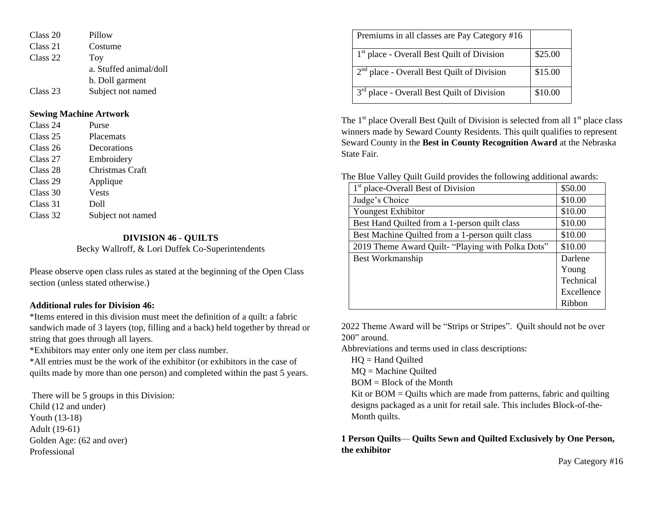| Class 20 | Pillow                 |
|----------|------------------------|
| Class 21 | Costume                |
| Class 22 | Toy                    |
|          | a. Stuffed animal/doll |
|          | b. Doll garment        |
| Class 23 | Subject not named      |

### **Sewing Machine Artwork**

| Class 24 | Purse             |
|----------|-------------------|
| Class 25 | Placemats         |
| Class 26 | Decorations       |
| Class 27 | Embroidery        |
| Class 28 | Christmas Craft   |
| Class 29 | Applique          |
| Class 30 | <b>Vests</b>      |
| Class 31 | Doll              |
| Class 32 | Subject not named |
|          |                   |

### **DIVISION 46 - QUILTS**

Becky Wallroff, & Lori Duffek Co-Superintendents

Please observe open class rules as stated at the beginning of the Open Class section (unless stated otherwise.)

### **Additional rules for Division 46:**

\*Items entered in this division must meet the definition of a quilt: a fabric sandwich made of 3 layers (top, filling and a back) held together by thread or string that goes through all layers.

\*Exhibitors may enter only one item per class number.

\*All entries must be the work of the exhibitor (or exhibitors in the case of quilts made by more than one person) and completed within the past 5 years.

There will be 5 groups in this Division: Child (12 and under) Youth (13-18) Adult (19-61) Golden Age: (62 and over) Professional

| Premiums in all classes are Pay Category #16           |         |
|--------------------------------------------------------|---------|
| <sup>1st</sup> place - Overall Best Quilt of Division  | \$25.00 |
| $2nd$ place - Overall Best Quilt of Division           | \$15.00 |
| 3 <sup>rd</sup> place - Overall Best Quilt of Division | \$10.00 |

The  $1<sup>st</sup>$  place Overall Best Quilt of Division is selected from all  $1<sup>st</sup>$  place class winners made by Seward County Residents. This quilt qualifies to represent Seward County in the **Best in County Recognition Award** at the Nebraska State Fair.

The Blue Valley Quilt Guild provides the following additional awards:

| 1 <sup>st</sup> place-Overall Best of Division    | \$50.00    |
|---------------------------------------------------|------------|
| Judge's Choice                                    | \$10.00    |
| <b>Youngest Exhibitor</b>                         | \$10.00    |
| Best Hand Quilted from a 1-person quilt class     | \$10.00    |
| Best Machine Quilted from a 1-person quilt class  | \$10.00    |
| 2019 Theme Award Quilt- "Playing with Polka Dots" | \$10.00    |
| Best Workmanship                                  | Darlene    |
|                                                   | Young      |
|                                                   | Technical  |
|                                                   | Excellence |
|                                                   | Ribbon     |

2022 Theme Award will be "Strips or Stripes". Quilt should not be over 200" around.

Abbreviations and terms used in class descriptions:

HQ = Hand Quilted

MQ = Machine Quilted

BOM = Block of the Month

Kit or  $BOM =$  Quilts which are made from patterns, fabric and quilting designs packaged as a unit for retail sale. This includes Block-of-the-Month quilts.

## **1 Person Quilts**— **Quilts Sewn and Quilted Exclusively by One Person, the exhibitor**

Pay Category #16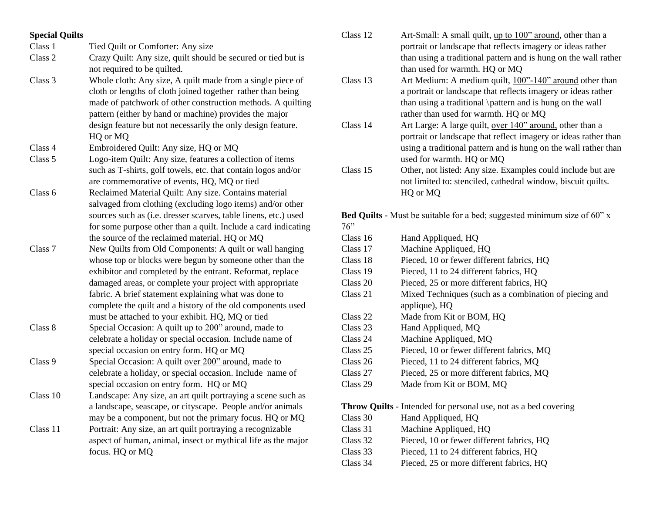| <b>Special Quilts</b> |                                                                 |
|-----------------------|-----------------------------------------------------------------|
| Class 1               | Tied Quilt or Comforter: Any size                               |
| Class 2               | Crazy Quilt: Any size, quilt should be secured or tied but is   |
|                       | not required to be quilted.                                     |
| Class 3               | Whole cloth: Any size, A quilt made from a single piece of      |
|                       | cloth or lengths of cloth joined together rather than being     |
|                       | made of patchwork of other construction methods. A quilting     |
|                       | pattern (either by hand or machine) provides the major          |
|                       | design feature but not necessarily the only design feature.     |
|                       | HQ or MQ                                                        |
| Class 4               | Embroidered Quilt: Any size, HQ or MQ                           |
| Class 5               | Logo-item Quilt: Any size, features a collection of items       |
|                       | such as T-shirts, golf towels, etc. that contain logos and/or   |
|                       | are commemorative of events, HQ, MQ or tied                     |
| Class 6               | Reclaimed Material Quilt: Any size. Contains material           |
|                       | salvaged from clothing (excluding logo items) and/or other      |
|                       | sources such as (i.e. dresser scarves, table linens, etc.) used |
|                       | for some purpose other than a quilt. Include a card indicating  |
|                       | the source of the reclaimed material. HQ or MQ                  |
| Class <sub>7</sub>    | New Quilts from Old Components: A quilt or wall hanging         |
|                       | whose top or blocks were begun by someone other than the        |
|                       | exhibitor and completed by the entrant. Reformat, replace       |
|                       | damaged areas, or complete your project with appropriate        |
|                       | fabric. A brief statement explaining what was done to           |
|                       | complete the quilt and a history of the old components used     |
|                       | must be attached to your exhibit. HQ, MQ or tied                |
| Class 8               | Special Occasion: A quilt up to 200" around, made to            |
|                       | celebrate a holiday or special occasion. Include name of        |
|                       | special occasion on entry form. HQ or MQ                        |
| Class 9               | Special Occasion: A quilt over 200" around, made to             |
|                       | celebrate a holiday, or special occasion. Include name of       |
|                       | special occasion on entry form. HQ or MQ                        |
| Class 10              | Landscape: Any size, an art quilt portraying a scene such as    |
|                       | a landscape, seascape, or cityscape. People and/or animals      |
|                       | may be a component, but not the primary focus. HQ or MQ         |
| Class 11              | Portrait: Any size, an art quilt portraying a recognizable      |
|                       | aspect of human, animal, insect or mythical life as the major   |
|                       | focus. HQ or MQ                                                 |
|                       |                                                                 |

| Class 12 | Art-Small: A small quilt, up to 100" around, other than a       |
|----------|-----------------------------------------------------------------|
|          | portrait or landscape that reflects imagery or ideas rather     |
|          | than using a traditional pattern and is hung on the wall rather |
|          | than used for warmth. HQ or MQ                                  |
| Class 13 | Art Medium: A medium quilt, 100"-140" around other than         |
|          | a portrait or landscape that reflects imagery or ideas rather   |
|          | than using a traditional \pattern and is hung on the wall       |
|          | rather than used for warmth. HQ or MQ                           |
| Class 14 | Art Large: A large quilt, over 140" around, other than a        |
|          | portrait or landscape that reflect imagery or ideas rather than |
|          | using a traditional pattern and is hung on the wall rather than |
|          | used for warmth. HQ or MQ                                       |
| Class 15 | Other, not listed: Any size. Examples could include but are     |
|          | not limited to: stenciled, cathedral window, biscuit quilts.    |
|          | HQ or MQ                                                        |
|          |                                                                 |

**Bed Quilts -** Must be suitable for a bed; suggested minimum size of 60" x 76"

| Class 16 | Hand Appliqued, HQ                                     |
|----------|--------------------------------------------------------|
| Class 17 | Machine Appliqued, HQ                                  |
| Class 18 | Pieced, 10 or fewer different fabrics, HQ              |
| Class 19 | Pieced, 11 to 24 different fabrics, HQ                 |
| Class 20 | Pieced, 25 or more different fabrics, HQ               |
| Class 21 | Mixed Techniques (such as a combination of piecing and |
|          | applique), HQ                                          |
| Class 22 | Made from Kit or BOM, HQ                               |
| Class 23 | Hand Appliqued, MQ                                     |
| Class 24 | Machine Appliqued, MQ                                  |
| Class 25 | Pieced, 10 or fewer different fabrics, MQ              |
| Class 26 | Pieced, 11 to 24 different fabrics, MQ                 |
| Class 27 | Pieced, 25 or more different fabrics, MQ               |
| Class 29 | Made from Kit or BOM, MQ                               |
|          |                                                        |

## **Throw Quilts** - Intended for personal use, not as a bed covering

| Class 30 | Hand Appliqued, HQ                        |
|----------|-------------------------------------------|
| Class 31 | Machine Appliqued, HQ                     |
| Class 32 | Pieced, 10 or fewer different fabrics, HQ |
| Class 33 | Pieced, 11 to 24 different fabrics, HQ    |
| Class 34 | Pieced, 25 or more different fabrics, HQ  |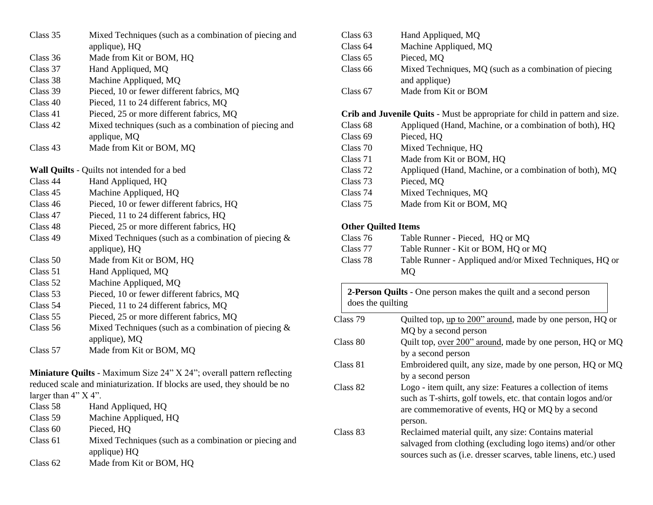| Class 35 | Mixed Techniques (such as a combination of piecing and  |
|----------|---------------------------------------------------------|
|          | applique), HQ                                           |
| Class 36 | Made from Kit or BOM, HQ                                |
| Class 37 | Hand Appliqued, MQ                                      |
| Class 38 | Machine Appliqued, MQ                                   |
| Class 39 | Pieced, 10 or fewer different fabrics, MQ               |
| Class 40 | Pieced, 11 to 24 different fabrics, MQ                  |
| Class 41 | Pieced, 25 or more different fabrics, MQ                |
| Class 42 | Mixed techniques (such as a combination of piecing and  |
|          | applique, MQ                                            |
| Class 43 | Made from Kit or BOM, MQ                                |
|          |                                                         |
|          | <b>Wall Quilts - Quilts not intended for a bed</b>      |
| Class 44 | Hand Appliqued, HQ                                      |
| Class 45 | Machine Appliqued, HQ                                   |
| Class 46 | Pieced, 10 or fewer different fabrics, HQ               |
| Class 47 | Pieced, 11 to 24 different fabrics, HQ                  |
| Class 48 | Pieced, 25 or more different fabrics, HQ                |
| Class 49 | Mixed Techniques (such as a combination of piecing $\&$ |
|          | applique), HQ                                           |
| Class 50 | Made from Kit or BOM, HQ                                |
| Class 51 | Hand Appliqued, MQ                                      |
| Class 52 | Machine Appliqued, MQ                                   |
| Class 53 | Pieced, 10 or fewer different fabrics, MQ               |
| Class 54 | Pieced, 11 to 24 different fabrics, MQ                  |
| Class 55 | Pieced, 25 or more different fabrics, MQ                |
| Class 56 | Mixed Techniques (such as a combination of piecing &    |
|          | applique), MQ                                           |
| Class 57 | Made from Kit or BOM, MQ                                |
|          |                                                         |

**Miniature Quilts** - Maximum Size 24" X 24"; overall pattern reflecting reduced scale and miniaturization. If blocks are used, they should be no larger than 4" X 4".

| Class 58 | Hand Appliqued, HQ                                     |
|----------|--------------------------------------------------------|
| Class 59 | Machine Appliqued, HQ                                  |
| Class 60 | Pieced, HQ                                             |
| Class 61 | Mixed Techniques (such as a combination or piecing and |
|          | applique) HQ                                           |
|          |                                                        |

Class 62 Made from Kit or BOM, HQ

| Class 63 | Hand Appliqued, MQ                                     |
|----------|--------------------------------------------------------|
| Class 64 | Machine Appliqued, MQ                                  |
| Class 65 | Pieced, MQ                                             |
| Class 66 | Mixed Techniques, MQ (such as a combination of piecing |
|          | and applique)                                          |
| Class 67 | Made from Kit or BOM                                   |

**Crib and Juvenile Quits** - Must be appropriate for child in pattern and size.

| Class <sub>68</sub> | Appliqued (Hand, Machine, or a combination of both), HQ |
|---------------------|---------------------------------------------------------|
| Class 69            | Pieced, HQ                                              |
| Class 70            | Mixed Technique, HQ                                     |
| Class 71            | Made from Kit or BOM, HQ                                |
| Class 72            | Appliqued (Hand, Machine, or a combination of both), MQ |
| Class 73            | Pieced, MQ                                              |
| Class 74            | Mixed Techniques, MQ                                    |
| Class 75            | Made from Kit or BOM, MQ                                |
|                     |                                                         |

## **Other Quilted Items**

| Class 76 | Table Runner - Pieced, HQ or MQ                         |
|----------|---------------------------------------------------------|
| Class 77 | Table Runner - Kit or BOM, HQ or MQ                     |
| Class 78 | Table Runner - Appliqued and/or Mixed Techniques, HQ or |
|          | MO.                                                     |
|          |                                                         |

| does the quilting | 2-Person Quilts - One person makes the quilt and a second person |
|-------------------|------------------------------------------------------------------|
| Class 79          | Quilted top, up to 200" around, made by one person, HQ or        |
|                   | MQ by a second person                                            |
| Class 80          | Quilt top, over 200" around, made by one person, HQ or MQ        |
|                   | by a second person                                               |
| Class 81          | Embroidered quilt, any size, made by one person, HQ or MQ        |
|                   | by a second person                                               |
| Class 82          | Logo - item quilt, any size: Features a collection of items      |
|                   | such as T-shirts, golf towels, etc. that contain logos and/or    |
|                   | are commemorative of events, HQ or MQ by a second                |
|                   | person.                                                          |
| Class 83          | Reclaimed material quilt, any size: Contains material            |
|                   | salvaged from clothing (excluding logo items) and/or other       |
|                   | sources such as (i.e. dresser scarves, table linens, etc.) used  |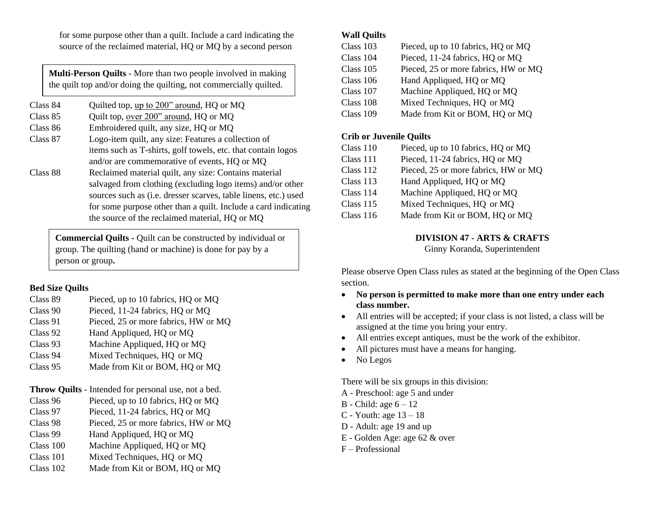for some purpose other than a quilt. Include a card indicating the source of the reclaimed material, HQ or MQ by a second person

**Multi-Person Quilts** - More than two people involved in making the quilt top and/or doing the quilting, not commercially quilted.

| Class 84 | Quilted top, up to 200" around, HQ or MQ                                |
|----------|-------------------------------------------------------------------------|
| Class 85 | Quilt top, over 200" around, HQ or MQ                                   |
| Class 86 | Embroidered quilt, any size, HQ or MQ                                   |
| Class 87 | Logo-item quilt, any size: Features a collection of                     |
|          | items such as T-shirts, golf towels, etc. that contain logos            |
|          | and/or are commemorative of events, HQ or MQ                            |
| Class 88 | Reclaimed material quilt, any size: Contains material                   |
|          | salvaged from clothing (excluding logo items) and/or other              |
|          | sources such as ( <i>i.e.</i> dresser scarves, table linens, etc.) used |
|          | for some purpose other than a quilt. Include a card indicating          |
|          | the source of the reclaimed material, HQ or MQ                          |

**Commercial Quilts -** Quilt can be constructed by individual or group. The quilting (hand or machine) is done for pay by a person or group**.** 

#### **Bed Size Quilts**

- Class 89 Pieced, up to 10 fabrics, HQ or MQ
- Class 90 Pieced, 11-24 fabrics, HQ or MQ
- Class 91 Pieced, 25 or more fabrics, HW or MQ Class 92 Hand Appliqued, HQ or MQ
- Class 93 Machine Appliqued, HQ or MQ
- 
- Class 94 Mixed Techniques, HQ or MQ
- Class 95 Made from Kit or BOM, HQ or MQ
- **Throw Quilts** Intended for personal use, not a bed.
- Class 96 Pieced, up to 10 fabrics, HQ or MQ
- Class 97 Pieced, 11-24 fabrics, HQ or MQ
- Class 98 Pieced, 25 or more fabrics, HW or MQ
- Class 99 Hand Appliqued, HQ or MQ
- Class 100 Machine Appliqued, HQ or MQ
- Class 101 Mixed Techniques, HQ or MQ
- Class 102 Made from Kit or BOM, HQ or MQ

### **Wall Quilts**

| Class 103   | Pieced, up to 10 fabrics, HQ or MQ   |
|-------------|--------------------------------------|
| Class 104   | Pieced, 11-24 fabrics, HQ or MQ      |
| Class $105$ | Pieced, 25 or more fabrics, HW or MQ |
| Class $106$ | Hand Appliqued, HQ or MQ             |
| Class 107   | Machine Appliqued, HQ or MQ          |
| Class 108   | Mixed Techniques, HQ or MQ           |
| Class 109   | Made from Kit or BOM, HQ or MQ       |

#### **Crib or Juvenile Quilts**

| Class 110   | Pieced, up to 10 fabrics, HQ or MQ   |
|-------------|--------------------------------------|
| Class 111   | Pieced, 11-24 fabrics, HQ or MQ      |
| Class 112   | Pieced, 25 or more fabrics, HW or MQ |
| Class 113   | Hand Appliqued, HQ or MQ             |
| Class 114   | Machine Appliqued, HQ or MQ          |
| Class 115   | Mixed Techniques, HQ or MQ           |
| Class $116$ | Made from Kit or BOM, HQ or MQ       |

### **DIVISION 47 - ARTS & CRAFTS**

Ginny Koranda, Superintendent

Please observe Open Class rules as stated at the beginning of the Open Class section.

- **No person is permitted to make more than one entry under each class number.**
- All entries will be accepted; if your class is not listed, a class will be assigned at the time you bring your entry.
- All entries except antiques, must be the work of the exhibitor.
- All pictures must have a means for hanging.
- No Legos

There will be six groups in this division:

- A Preschool: age 5 and under
- B Child: age  $6 12$
- C Youth: age 13 18
- D Adult: age 19 and up
- E Golden Age: age 62 & over
- F Professional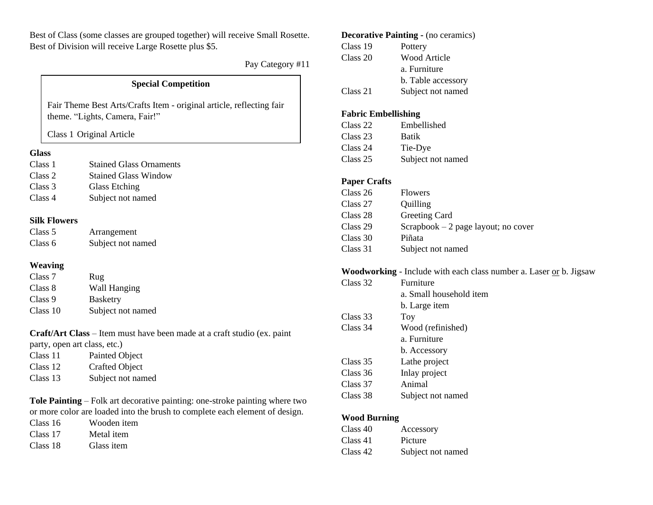Best of Class (some classes are grouped together) will receive Small Rosette. Best of Division will receive Large Rosette plus \$5.

Pay Category #11

## **Special Competition**

Fair Theme Best Arts/Crafts Item - original article, reflecting fair theme. "Lights, Camera, Fair!"

Class 1 Original Article

## **Glass**

| Class 1 | <b>Stained Glass Ornaments</b> |
|---------|--------------------------------|
| Class 2 | <b>Stained Glass Window</b>    |
| Class 3 | Glass Etching                  |
| Class 4 | Subject not named              |

## **Silk Flowers**

| Class 5 | Arrangement       |
|---------|-------------------|
| Class 6 | Subject not named |

## **Weaving**

| Class 7  | Rug                 |
|----------|---------------------|
| Class 8  | <b>Wall Hanging</b> |
| Class 9  | <b>Basketry</b>     |
| Class 10 | Subject not named   |

**Craft/Art Class** – Item must have been made at a craft studio (ex. paint

party, open art class, etc.)

- Class 11 Painted Object
- Class 12 Crafted Object
- Class 13 Subject not named

**Tole Painting** – Folk art decorative painting: one-stroke painting where two or more color are loaded into the brush to complete each element of design.

Class 16 Wooden item Class 17 Metal item

Class 18 Glass item

#### **Decorative Painting -** (no ceramics)

| Class 19 | Pottery             |
|----------|---------------------|
| Class 20 | <b>Wood Article</b> |
|          | a. Furniture        |
|          | b. Table accessory  |
| Class 21 | Subject not named   |

## **Fabric Embellishing**

| Class 22 | Embellished       |
|----------|-------------------|
| Class 23 | Batik             |
| Class 24 | Tie-Dye           |
| Class 25 | Subject not named |

### **Paper Crafts**

| Class 26 | <b>Flowers</b>                       |
|----------|--------------------------------------|
| Class 27 | Quilling                             |
| Class 28 | Greeting Card                        |
| Class 29 | Scrapbook $-2$ page layout; no cover |
| Class 30 | Piñata                               |
| Class 31 | Subject not named                    |

#### **Woodworking** - Include with each class number a. Laser or b. Jigsaw

| Class 32 | Furniture               |
|----------|-------------------------|
|          | a. Small household item |
|          | b. Large item           |
| Class 33 | Toy                     |
| Class 34 | Wood (refinished)       |
|          | a. Furniture            |
|          | b. Accessory            |
| Class 35 | Lathe project           |
| Class 36 | Inlay project           |
| Class 37 | Animal                  |
| Class 38 | Subject not named       |

#### **Wood Burning**

| Class 40 | Accessory         |
|----------|-------------------|
| Class 41 | Picture           |
| Class 42 | Subject not named |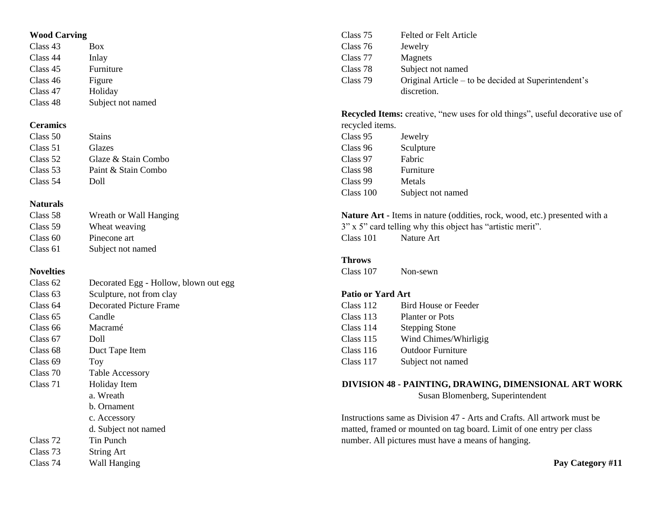## **Wood Carving**

| Class 43 | <b>Box</b>        |
|----------|-------------------|
| Class 44 | Inlay             |
| Class 45 | Furniture         |
| Class 46 | Figure            |
| Class 47 | Holiday           |
| Class 48 | Subject not named |

## **Ceramics**

| Class 50 | <b>Stains</b>       |
|----------|---------------------|
| Class 51 | Glazes              |
| Class 52 | Glaze & Stain Combo |
| Class 53 | Paint & Stain Combo |
| Class 54 | Doll                |

## **Naturals**

| Wreath or Wall Hanging |
|------------------------|
|                        |
|                        |
|                        |
|                        |

## **Novelties**

| Class 62 | Decorated Egg - Hollow, blown out egg |
|----------|---------------------------------------|
| Class 63 | Sculpture, not from clay              |
| Class 64 | Decorated Picture Frame               |
| Class 65 | Candle                                |
| Class 66 | Macramé                               |
| Class 67 | Doll                                  |
| Class 68 | Duct Tape Item                        |
| Class 69 | Toy                                   |
| Class 70 | <b>Table Accessory</b>                |
| Class 71 | Holiday Item                          |
|          | a. Wreath                             |
|          | b. Ornament                           |
|          | c. Accessory                          |
|          | d. Subject not named                  |
| Class 72 | Tin Punch                             |
| Class 73 | <b>String Art</b>                     |
| Class 74 | <b>Wall Hanging</b>                   |

| Class 75 | Felted or Felt Article                               |
|----------|------------------------------------------------------|
| Class 76 | Jewelry                                              |
| Class 77 | Magnets                                              |
| Class 78 | Subject not named                                    |
| Class 79 | Original Article – to be decided at Superintendent's |
|          | discretion.                                          |

**Recycled Items:** creative, "new uses for old things", useful decorative use of recycled items.

| Class 95  | Jewelry           |
|-----------|-------------------|
| Class 96  | Sculpture         |
| Class 97  | Fabric            |
| Class 98  | Furniture         |
| Class 99  | Metals            |
| Class 100 | Subject not named |

**Nature Art -** Items in nature (oddities, rock, wood, etc.) presented with a 3" x 5" card telling why this object has "artistic merit". Class 101 Nature Art

#### **Throws**

Class 107 Non-sewn

#### **Patio or Yard Art**

| Class 112 | <b>Bird House or Feeder</b> |
|-----------|-----------------------------|
| Class 113 | <b>Planter or Pots</b>      |
| Class 114 | <b>Stepping Stone</b>       |
| Class 115 | Wind Chimes/Whirligig       |
| Class 116 | <b>Outdoor Furniture</b>    |
| Class 117 | Subject not named           |
|           |                             |

#### **DIVISION 48 - PAINTING, DRAWING, DIMENSIONAL ART WORK** Susan Blomenberg, Superintendent

Instructions same as Division 47 - Arts and Crafts. All artwork must be matted, framed or mounted on tag board. Limit of one entry per class number. All pictures must have a means of hanging.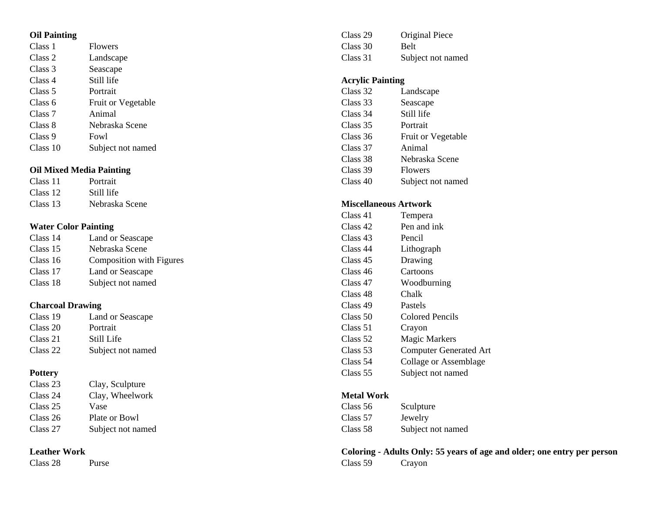## **Oil Painting**

| Class 1            | <b>Flowers</b>            |
|--------------------|---------------------------|
| Class 2            | Landscape                 |
| Class 3            | Seascape                  |
| Class 4            | Still life                |
| Class 5            | Portrait                  |
| Class 6            | <b>Fruit or Vegetable</b> |
| Class <sub>7</sub> | Animal                    |
| Class 8            | Nebraska Scene            |
| Class 9            | Fowl                      |
| Class 10           | Subject not named         |

## **Oil Mixed Media Painting**

| Class 11 | Portrait       |
|----------|----------------|
| Class 12 | Still life     |
| Class 13 | Nebraska Scene |

## **Water Color Painting**

| Class 14 | Land or Seascape                |
|----------|---------------------------------|
| Class 15 | Nebraska Scene                  |
| Class 16 | <b>Composition with Figures</b> |
| Class 17 | Land or Seascape                |
| Class 18 | Subject not named               |

## **Charcoal Drawing**

| Class 19 | Land or Seascape  |
|----------|-------------------|
| Class 20 | Portrait          |
| Class 21 | Still Life        |
| Class 22 | Subject not named |

## **Pottery**

| Class 23 | Clay, Sculpture   |
|----------|-------------------|
| Class 24 | Clay, Wheelwork   |
| Class 25 | Vase              |
| Class 26 | Plate or Bowl     |
| Class 27 | Subject not named |

## **Leather Work**

Class 28 Purse

| Class 29 | Original Piece    |
|----------|-------------------|
| Class 30 | <b>Belt</b>       |
| Class 31 | Subject not named |

## **Acrylic Painting**

| Class 32 | Landscape                 |
|----------|---------------------------|
| Class 33 | Seascape                  |
| Class 34 | Still life                |
| Class 35 | Portrait                  |
| Class 36 | <b>Fruit or Vegetable</b> |
| Class 37 | Animal                    |
| Class 38 | Nebraska Scene            |
| Class 39 | <b>Flowers</b>            |
| Class 40 | Subject not named         |

## **Miscellaneous Artwork**

| Class 41 | Tempera                       |
|----------|-------------------------------|
| Class 42 | Pen and ink                   |
| Class 43 | Pencil                        |
| Class 44 | Lithograph                    |
| Class 45 | Drawing                       |
| Class 46 | Cartoons                      |
| Class 47 | Woodburning                   |
| Class 48 | Chalk                         |
| Class 49 | Pastels                       |
| Class 50 | Colored Pencils               |
| Class 51 | Crayon                        |
| Class 52 | <b>Magic Markers</b>          |
| Class 53 | <b>Computer Generated Art</b> |
| Class 54 | Collage or Assemblage         |
| Class 55 | Subject not named             |

## **Metal Work**

| Class 56 | Sculpture         |
|----------|-------------------|
| Class 57 | Jewelry           |
| Class 58 | Subject not named |

**Coloring - Adults Only: 55 years of age and older; one entry per person** Crayon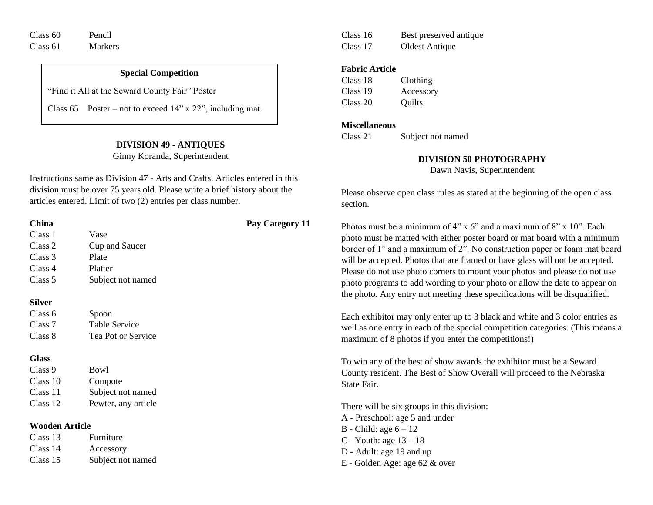| Class 60 | Pencil         |
|----------|----------------|
| Class 61 | <b>Markers</b> |

#### **Special Competition**

"Find it All at the Seward County Fair" Poster

Class 65 Poster – not to exceed 14" x 22", including mat.

## **DIVISION 49 - ANTIQUES**

Ginny Koranda, Superintendent

Instructions same as Division 47 - Arts and Crafts. Articles entered in this division must be over 75 years old. Please write a brief history about the articles entered. Limit of two (2) entries per class number.

| <b>China</b>          |                      | Pay Category 11 |
|-----------------------|----------------------|-----------------|
| Class 1               | Vase                 |                 |
| Class 2               | Cup and Saucer       |                 |
| Class 3               | Plate                |                 |
| Class 4               | Platter              |                 |
| Class 5               | Subject not named    |                 |
| <b>Silver</b>         |                      |                 |
| Class 6               | Spoon                |                 |
| Class 7               | <b>Table Service</b> |                 |
| Class 8               | Tea Pot or Service   |                 |
| <b>Glass</b>          |                      |                 |
| Class 9               | Bowl                 |                 |
| Class 10              | Compote              |                 |
| Class 11              | Subject not named    |                 |
| Class 12              | Pewter, any article  |                 |
| <b>Wooden Article</b> |                      |                 |
| Class 13              | Furniture            |                 |
| Class 14              | Accessory            |                 |
| Class 15              | Subject not named    |                 |

Class 16 Best preserved antique Class 17 Oldest Antique

#### **Fabric Article**

| Class 18 | Clothing  |
|----------|-----------|
| Class 19 | Accessory |
| Class 20 | Quilts    |

#### **Miscellaneous**

Class 21 Subject not named

#### **DIVISION 50 PHOTOGRAPHY**

Dawn Navis, Superintendent

Please observe open class rules as stated at the beginning of the open class section.

Photos must be a minimum of  $4$ " x 6" and a maximum of  $8$ " x 10". Each photo must be matted with either poster board or mat board with a minimum border of 1" and a maximum of 2". No construction paper or foam mat board will be accepted. Photos that are framed or have glass will not be accepted. Please do not use photo corners to mount your photos and please do not use photo programs to add wording to your photo or allow the date to appear on the photo. Any entry not meeting these specifications will be disqualified.

Each exhibitor may only enter up to 3 black and white and 3 color entries as well as one entry in each of the special competition categories. (This means a maximum of 8 photos if you enter the competitions!)

To win any of the best of show awards the exhibitor must be a Seward County resident. The Best of Show Overall will proceed to the Nebraska State Fair.

There will be six groups in this division: A - Preschool: age 5 and under B - Child: age  $6 - 12$ C - Youth: age 13 – 18 D - Adult: age 19 and up E - Golden Age: age 62 & over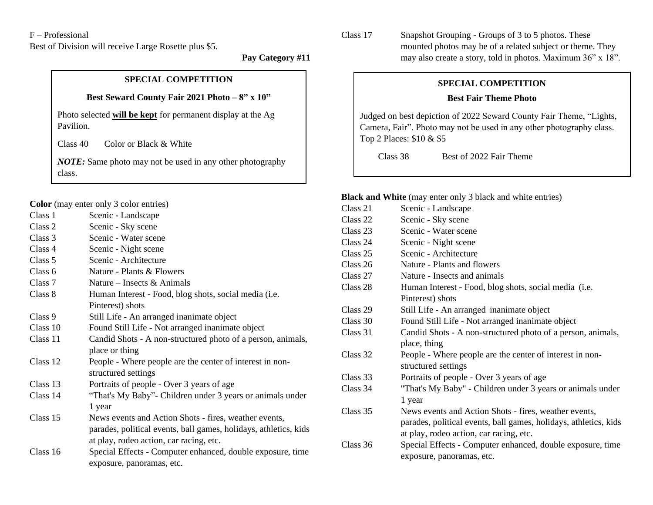#### F – Professional

Best of Division will receive Large Rosette plus \$5.

 **Pay Category #11**

## **SPECIAL COMPETITION**

## **Best Seward County Fair 2021 Photo – 8" x 10"**

Photo selected **will be kept** for permanent display at the Ag Pavilion.

Class 40 Color or Black & White

*NOTE:* Same photo may not be used in any other photography class.

**Color** (may enter only 3 color entries)

|           | $\mathbf{C}$ $\mathbf{C}$ $\mathbf{D}$ $\mathbf{D}$ $\mathbf{D}$ $\mathbf{D}$ $\mathbf{D}$ $\mathbf{D}$ $\mathbf{D}$ $\mathbf{D}$ $\mathbf{D}$ $\mathbf{D}$ $\mathbf{D}$ $\mathbf{D}$ $\mathbf{D}$ $\mathbf{D}$ $\mathbf{D}$ $\mathbf{D}$ $\mathbf{D}$ $\mathbf{D}$ $\mathbf{D}$ $\mathbf{D}$ $\mathbf{D}$ $\mathbf{D}$ $\mathbf{$ |
|-----------|------------------------------------------------------------------------------------------------------------------------------------------------------------------------------------------------------------------------------------------------------------------------------------------------------------------------------------|
| Class 1   | Scenic - Landscape                                                                                                                                                                                                                                                                                                                 |
| Class 2   | Scenic - Sky scene                                                                                                                                                                                                                                                                                                                 |
| Class 3   | Scenic - Water scene                                                                                                                                                                                                                                                                                                               |
| Class 4   | Scenic - Night scene                                                                                                                                                                                                                                                                                                               |
| Class 5   | Scenic - Architecture                                                                                                                                                                                                                                                                                                              |
| Class $6$ | Nature - Plants & Flowers                                                                                                                                                                                                                                                                                                          |
| Class 7   | Nature – Insects & Animals                                                                                                                                                                                                                                                                                                         |
| Class 8   | Human Interest - Food, blog shots, social media (i.e.                                                                                                                                                                                                                                                                              |
|           | Pinterest) shots                                                                                                                                                                                                                                                                                                                   |
| Class 9   | Still Life - An arranged inanimate object                                                                                                                                                                                                                                                                                          |
| Class 10  | Found Still Life - Not arranged inanimate object                                                                                                                                                                                                                                                                                   |
| Class 11  | Candid Shots - A non-structured photo of a person, animals,                                                                                                                                                                                                                                                                        |
|           | place or thing                                                                                                                                                                                                                                                                                                                     |
| Class 12  | People - Where people are the center of interest in non-                                                                                                                                                                                                                                                                           |
|           | structured settings                                                                                                                                                                                                                                                                                                                |
| Class 13  | Portraits of people - Over 3 years of age                                                                                                                                                                                                                                                                                          |
| Class 14  | "That's My Baby"- Children under 3 years or animals under                                                                                                                                                                                                                                                                          |
|           | 1 year                                                                                                                                                                                                                                                                                                                             |
| Class 15  | News events and Action Shots - fires, weather events,                                                                                                                                                                                                                                                                              |
|           | parades, political events, ball games, holidays, athletics, kids                                                                                                                                                                                                                                                                   |
|           | at play, rodeo action, car racing, etc.                                                                                                                                                                                                                                                                                            |
| Class 16  | Special Effects - Computer enhanced, double exposure, time                                                                                                                                                                                                                                                                         |
|           | exposure, panoramas, etc.                                                                                                                                                                                                                                                                                                          |

Class 17 Snapshot Grouping - Groups of 3 to 5 photos. These mounted photos may be of a related subject or theme. They may also create a story, told in photos. Maximum 36" x 18".

## **SPECIAL COMPETITION**

## **Best Fair Theme Photo**

Judged on best depiction of 2022 Seward County Fair Theme, "Lights, Camera, Fair". Photo may not be used in any other photography class. Top 2 Places: \$10 & \$5

Class 38 Best of 2022 Fair Theme

#### **Black and White** (may enter only 3 black and white entries)

| Class 21 | Scenic - Landscape                                               |
|----------|------------------------------------------------------------------|
| Class 22 | Scenic - Sky scene                                               |
| Class 23 | Scenic - Water scene                                             |
| Class 24 | Scenic - Night scene                                             |
| Class 25 | Scenic - Architecture                                            |
| Class 26 | Nature - Plants and flowers                                      |
| Class 27 | Nature - Insects and animals                                     |
| Class 28 | Human Interest - Food, blog shots, social media (i.e.            |
|          | Pinterest) shots                                                 |
| Class 29 | Still Life - An arranged inanimate object                        |
| Class 30 | Found Still Life - Not arranged inanimate object                 |
| Class 31 | Candid Shots - A non-structured photo of a person, animals,      |
|          | place, thing                                                     |
| Class 32 | People - Where people are the center of interest in non-         |
|          | structured settings                                              |
| Class 33 | Portraits of people - Over 3 years of age                        |
| Class 34 | "That's My Baby" - Children under 3 years or animals under       |
|          | 1 year                                                           |
| Class 35 | News events and Action Shots - fires, weather events,            |
|          | parades, political events, ball games, holidays, athletics, kids |
|          | at play, rodeo action, car racing, etc.                          |
| Class 36 | Special Effects - Computer enhanced, double exposure, time       |
|          | exposure, panoramas, etc.                                        |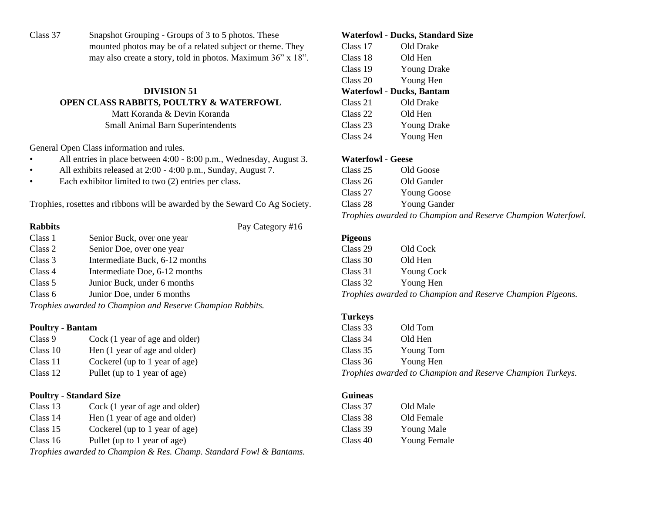| Class 37 | Snapshot Grouping - Groups of 3 to 5 photos. These          |
|----------|-------------------------------------------------------------|
|          | mounted photos may be of a related subject or theme. They   |
|          | may also create a story, told in photos. Maximum 36" x 18". |

### **DIVISION 51 OPEN CLASS RABBITS, POULTRY & WATERFOWL** Matt Koranda & Devin Koranda

Small Animal Barn Superintendents

General Open Class information and rules.

- All entries in place between 4:00 8:00 p.m., Wednesday, August 3.
- All exhibits released at 2:00 4:00 p.m., Sunday, August 7.
- Each exhibitor limited to two (2) entries per class.

Trophies, rosettes and ribbons will be awarded by the Seward Co Ag Society.

#### **Rabbits** Pay Category #16

| Class 1 | Senior Buck, over one year                                 |
|---------|------------------------------------------------------------|
| Class 2 | Senior Doe, over one year                                  |
| Class 3 | Intermediate Buck, 6-12 months                             |
| Class 4 | Intermediate Doe, 6-12 months                              |
| Class 5 | Junior Buck, under 6 months                                |
| Class 6 | Junior Doe, under 6 months                                 |
|         | Trophies awarded to Champion and Reserve Champion Rabbits. |
|         |                                                            |

## **Poultry** - **Bantam**

| Class 9  | Cock (1 year of age and older) |
|----------|--------------------------------|
| Class 10 | Hen (1 year of age and older)  |
| Class 11 | Cockerel (up to 1 year of age) |
| Class 12 | Pullet (up to 1 year of age)   |

#### **Poultry** - **Standard Size**

| Class 13                                                            | Cock (1 year of age and older) |  |
|---------------------------------------------------------------------|--------------------------------|--|
| Class 14                                                            | Hen (1 year of age and older)  |  |
| Class 15                                                            | Cockerel (up to 1 year of age) |  |
| Class 16                                                            | Pullet (up to 1 year of age)   |  |
| Trophies awarded to Champion & Res. Champ. Standard Fowl & Bantams. |                                |  |

#### **Waterfowl** - **Ducks, Standard Size**

| Class 17 | Old Drake                        |
|----------|----------------------------------|
| Class 18 | Old Hen                          |
| Class 19 | Young Drake                      |
| Class 20 | Young Hen                        |
|          | <b>Waterfowl - Ducks, Bantam</b> |
| Class 21 | Old Drake                        |
| Class 22 | Old Hen                          |
| Class 23 | Young Drake                      |
| Class 24 | Young Hen                        |

#### **Waterfowl - Geese**

| Class 25 | Old Goose                                                    |
|----------|--------------------------------------------------------------|
| Class 26 | Old Gander                                                   |
| Class 27 | Young Goose                                                  |
| Class 28 | Young Gander                                                 |
|          | Trophies awarded to Champion and Reserve Champion Waterfowl. |

#### **Pigeons**

| Class 29 | Old Cock                                                   |
|----------|------------------------------------------------------------|
| Class 30 | Old Hen                                                    |
| Class 31 | Young Cock                                                 |
| Class 32 | Young Hen                                                  |
|          | Trophies awarded to Champion and Reserve Champion Pigeons. |

## **Turkeys**

| Class 33 | Old Tom                                                    |
|----------|------------------------------------------------------------|
| Class 34 | Old Hen                                                    |
| Class 35 | Young Tom                                                  |
| Class 36 | Young Hen                                                  |
|          | Trophies awarded to Champion and Reserve Champion Turkeys. |

#### **Guineas**

| Class 37 | Old Male     |
|----------|--------------|
| Class 38 | Old Female   |
| Class 39 | Young Male   |
| Class 40 | Young Female |